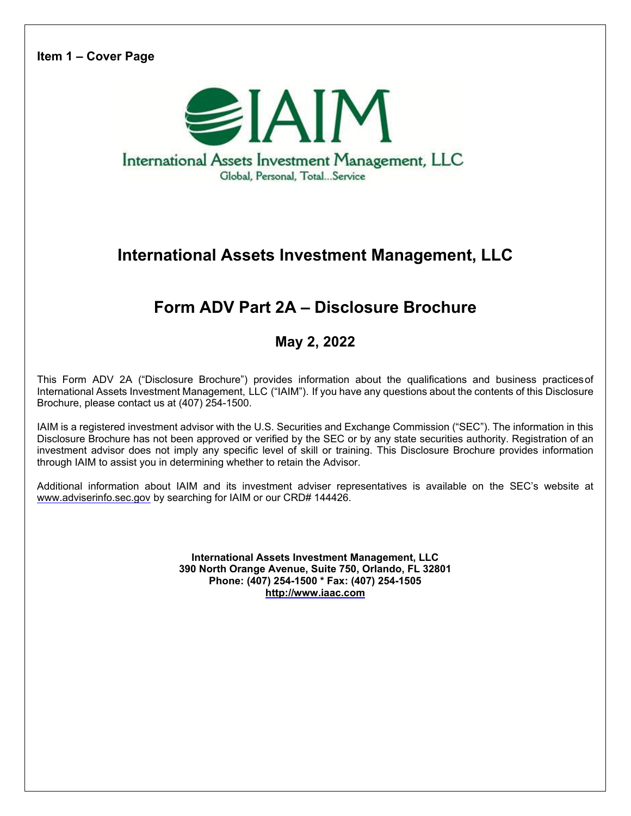**Item 1 – Cover Page** 



# **International Assets Investment Management, LLC**

# **Form ADV Part 2A – Disclosure Brochure**

**May 2, 2022** 

This Form ADV 2A ("Disclosure Brochure") provides information about the qualifications and business practices of International Assets Investment Management, LLC ("IAIM"). If you have any questions about the contents of this Disclosure Brochure, please contact us at (407) 254-1500.

IAIM is a registered investment advisor with the U.S. Securities and Exchange Commission ("SEC"). The information in this Disclosure Brochure has not been approved or verified by the SEC or by any state securities authority. Registration of an investment advisor does not imply any specific level of skill or training. This Disclosure Brochure provides information through IAIM to assist you in determining whether to retain the Advisor.

Additional information about IAIM and its investment adviser representatives is available on the SEC's website at www.adviserinfo.sec.gov by searching for IAIM or our CRD# 144426.

> **International Assets Investment Management, LLC 390 North Orange Avenue, Suite 750, Orlando, FL 32801 Phone: (407) 254-1500 \* Fax: (407) 254-1505 http://www.iaac.com**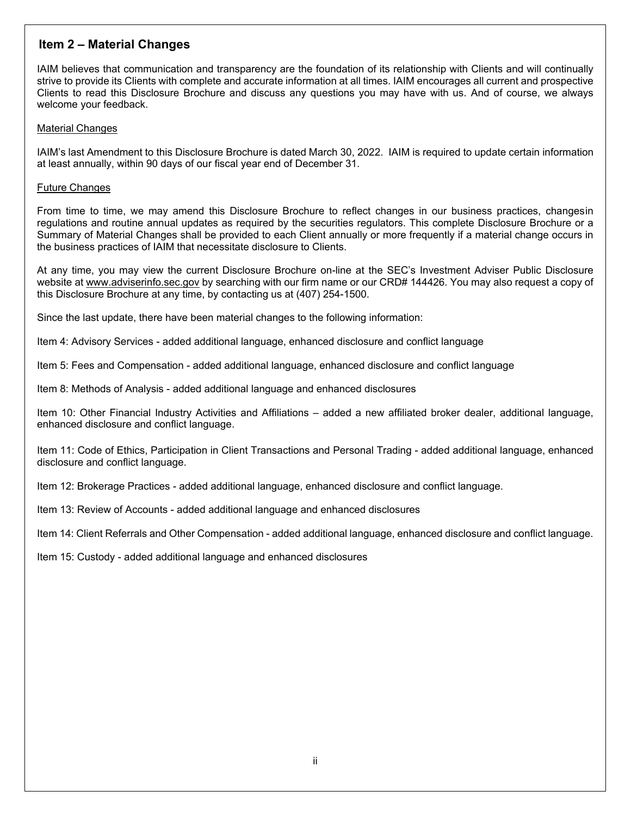# **Item 2 – Material Changes**

IAIM believes that communication and transparency are the foundation of its relationship with Clients and will continually strive to provide its Clients with complete and accurate information at all times. IAIM encourages all current and prospective Clients to read this Disclosure Brochure and discuss any questions you may have with us. And of course, we always welcome your feedback.

# Material Changes

IAIM's last Amendment to this Disclosure Brochure is dated March 30, 2022. IAIM is required to update certain information at least annually, within 90 days of our fiscal year end of December 31.

# Future Changes

From time to time, we may amend this Disclosure Brochure to reflect changes in our business practices, changesin regulations and routine annual updates as required by the securities regulators. This complete Disclosure Brochure or a Summary of Material Changes shall be provided to each Client annually or more frequently if a material change occurs in the business practices of IAIM that necessitate disclosure to Clients.

At any time, you may view the current Disclosure Brochure on-line at the SEC's Investment Adviser Public Disclosure website at www.adviserinfo.sec.gov by searching with our firm name or our CRD# 144426. You may also request a copy of this Disclosure Brochure at any time, by contacting us at (407) 254-1500.

Since the last update, there have been material changes to the following information:

Item 4: Advisory Services - added additional language, enhanced disclosure and conflict language

Item 5: Fees and Compensation - added additional language, enhanced disclosure and conflict language

Item 8: Methods of Analysis - added additional language and enhanced disclosures

Item 10: Other Financial Industry Activities and Affiliations – added a new affiliated broker dealer, additional language, enhanced disclosure and conflict language.

Item 11: Code of Ethics, Participation in Client Transactions and Personal Trading - added additional language, enhanced disclosure and conflict language.

Item 12: Brokerage Practices - added additional language, enhanced disclosure and conflict language.

Item 13: Review of Accounts - added additional language and enhanced disclosures

Item 14: Client Referrals and Other Compensation - added additional language, enhanced disclosure and conflict language.

Item 15: Custody - added additional language and enhanced disclosures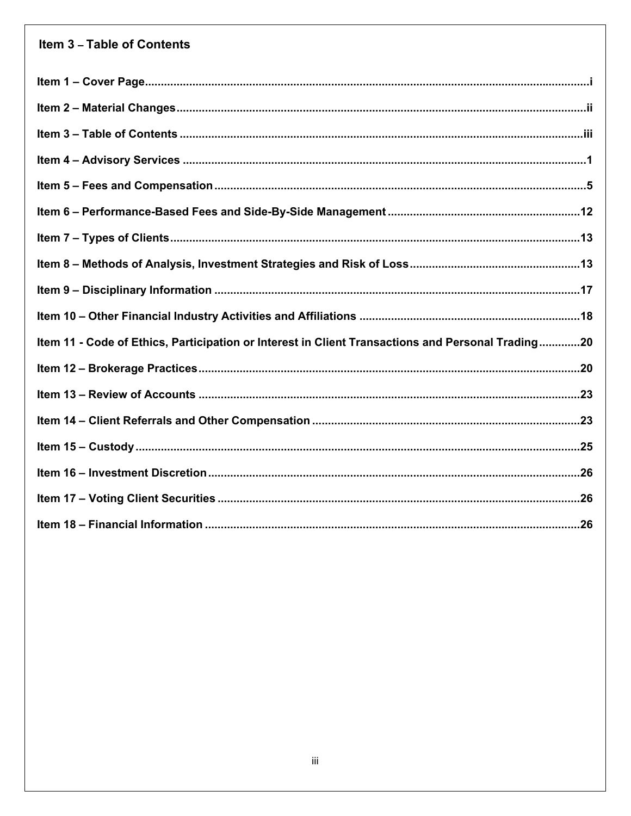# Item 3 - Table of Contents

| Item 11 - Code of Ethics, Participation or Interest in Client Transactions and Personal Trading20 |
|---------------------------------------------------------------------------------------------------|
|                                                                                                   |
|                                                                                                   |
|                                                                                                   |
|                                                                                                   |
|                                                                                                   |
|                                                                                                   |
|                                                                                                   |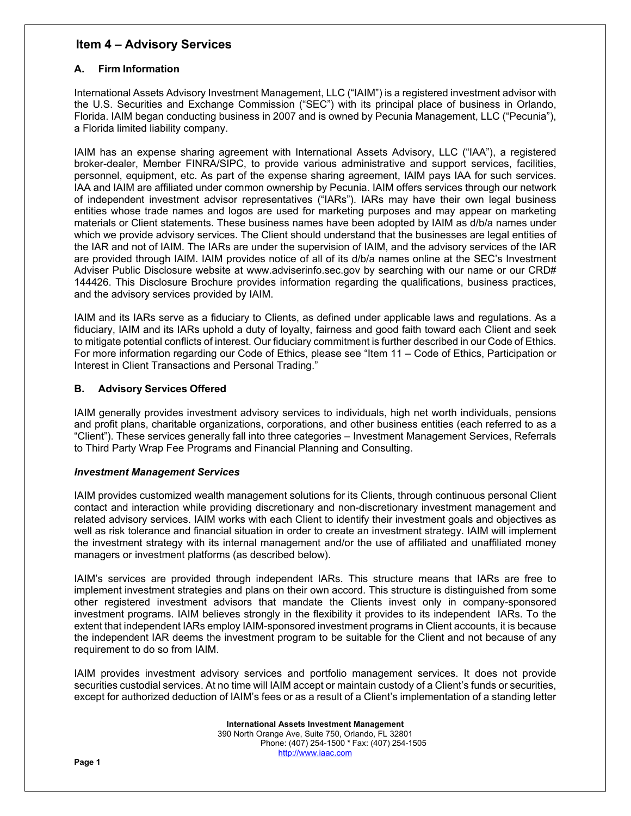# **Item 4 – Advisory Services**

# **A. Firm Information**

International Assets Advisory Investment Management, LLC ("IAIM") is a registered investment advisor with the U.S. Securities and Exchange Commission ("SEC") with its principal place of business in Orlando, Florida. IAIM began conducting business in 2007 and is owned by Pecunia Management, LLC ("Pecunia"), a Florida limited liability company.

IAIM has an expense sharing agreement with International Assets Advisory, LLC ("IAA"), a registered broker-dealer, Member FINRA/SIPC, to provide various administrative and support services, facilities, personnel, equipment, etc. As part of the expense sharing agreement, IAIM pays IAA for such services. IAA and IAIM are affiliated under common ownership by Pecunia. IAIM offers services through our network of independent investment advisor representatives ("IARs"). IARs may have their own legal business entities whose trade names and logos are used for marketing purposes and may appear on marketing materials or Client statements. These business names have been adopted by IAIM as d/b/a names under which we provide advisory services. The Client should understand that the businesses are legal entities of the IAR and not of IAIM. The IARs are under the supervision of IAIM, and the advisory services of the IAR are provided through IAIM. IAIM provides notice of all of its d/b/a names online at the SEC's Investment Adviser Public Disclosure website at www.adviserinfo.sec.gov by searching with our name or our CRD# 144426. This Disclosure Brochure provides information regarding the qualifications, business practices, and the advisory services provided by IAIM.

IAIM and its IARs serve as a fiduciary to Clients, as defined under applicable laws and regulations. As a fiduciary, IAIM and its IARs uphold a duty of loyalty, fairness and good faith toward each Client and seek to mitigate potential conflicts of interest. Our fiduciary commitment is further described in our Code of Ethics. For more information regarding our Code of Ethics, please see "Item 11 – Code of Ethics, Participation or Interest in Client Transactions and Personal Trading."

# **B. Advisory Services Offered**

IAIM generally provides investment advisory services to individuals, high net worth individuals, pensions and profit plans, charitable organizations, corporations, and other business entities (each referred to as a "Client"). These services generally fall into three categories – Investment Management Services, Referrals to Third Party Wrap Fee Programs and Financial Planning and Consulting.

## *Investment Management Services*

IAIM provides customized wealth management solutions for its Clients, through continuous personal Client contact and interaction while providing discretionary and non-discretionary investment management and related advisory services. IAIM works with each Client to identify their investment goals and objectives as well as risk tolerance and financial situation in order to create an investment strategy. IAIM will implement the investment strategy with its internal management and/or the use of affiliated and unaffiliated money managers or investment platforms (as described below).

IAIM's services are provided through independent IARs. This structure means that IARs are free to implement investment strategies and plans on their own accord. This structure is distinguished from some other registered investment advisors that mandate the Clients invest only in company-sponsored investment programs. IAIM believes strongly in the flexibility it provides to its independent IARs. To the extent that independent IARs employ IAIM-sponsored investment programs in Client accounts, it is because the independent IAR deems the investment program to be suitable for the Client and not because of any requirement to do so from IAIM.

IAIM provides investment advisory services and portfolio management services. It does not provide securities custodial services. At no time will IAIM accept or maintain custody of a Client's funds or securities, except for authorized deduction of IAIM's fees or as a result of a Client's implementation of a standing letter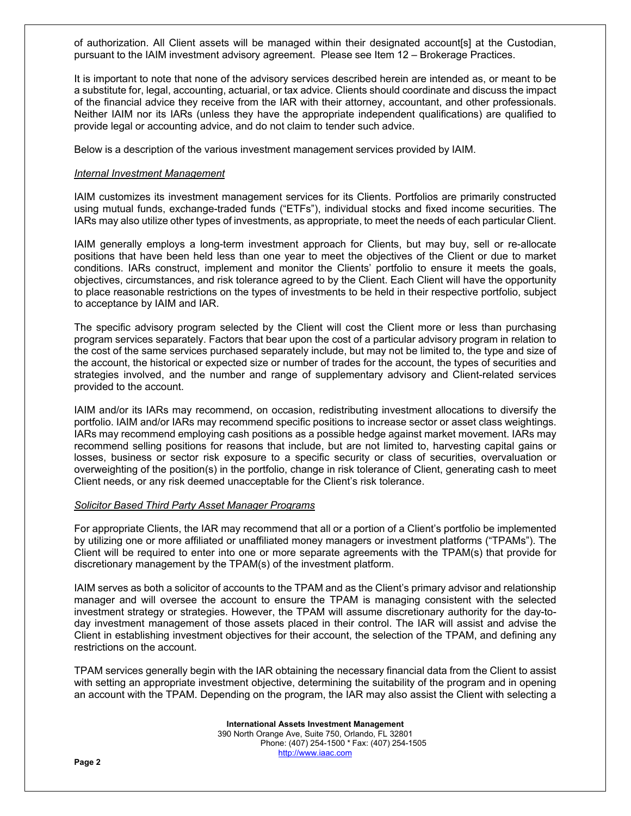of authorization. All Client assets will be managed within their designated account[s] at the Custodian, pursuant to the IAIM investment advisory agreement. Please see Item 12 – Brokerage Practices.

It is important to note that none of the advisory services described herein are intended as, or meant to be a substitute for, legal, accounting, actuarial, or tax advice. Clients should coordinate and discuss the impact of the financial advice they receive from the IAR with their attorney, accountant, and other professionals. Neither IAIM nor its IARs (unless they have the appropriate independent qualifications) are qualified to provide legal or accounting advice, and do not claim to tender such advice.

Below is a description of the various investment management services provided by IAIM.

#### *Internal Investment Management*

IAIM customizes its investment management services for its Clients. Portfolios are primarily constructed using mutual funds, exchange-traded funds ("ETFs"), individual stocks and fixed income securities. The IARs may also utilize other types of investments, as appropriate, to meet the needs of each particular Client.

IAIM generally employs a long-term investment approach for Clients, but may buy, sell or re-allocate positions that have been held less than one year to meet the objectives of the Client or due to market conditions. IARs construct, implement and monitor the Clients' portfolio to ensure it meets the goals, objectives, circumstances, and risk tolerance agreed to by the Client. Each Client will have the opportunity to place reasonable restrictions on the types of investments to be held in their respective portfolio, subject to acceptance by IAIM and IAR.

The specific advisory program selected by the Client will cost the Client more or less than purchasing program services separately. Factors that bear upon the cost of a particular advisory program in relation to the cost of the same services purchased separately include, but may not be limited to, the type and size of the account, the historical or expected size or number of trades for the account, the types of securities and strategies involved, and the number and range of supplementary advisory and Client-related services provided to the account.

IAIM and/or its IARs may recommend, on occasion, redistributing investment allocations to diversify the portfolio. IAIM and/or IARs may recommend specific positions to increase sector or asset class weightings. IARs may recommend employing cash positions as a possible hedge against market movement. IARs may recommend selling positions for reasons that include, but are not limited to, harvesting capital gains or losses, business or sector risk exposure to a specific security or class of securities, overvaluation or overweighting of the position(s) in the portfolio, change in risk tolerance of Client, generating cash to meet Client needs, or any risk deemed unacceptable for the Client's risk tolerance.

## *Solicitor Based Third Party Asset Manager Programs*

For appropriate Clients, the IAR may recommend that all or a portion of a Client's portfolio be implemented by utilizing one or more affiliated or unaffiliated money managers or investment platforms ("TPAMs"). The Client will be required to enter into one or more separate agreements with the TPAM(s) that provide for discretionary management by the TPAM(s) of the investment platform.

IAIM serves as both a solicitor of accounts to the TPAM and as the Client's primary advisor and relationship manager and will oversee the account to ensure the TPAM is managing consistent with the selected investment strategy or strategies. However, the TPAM will assume discretionary authority for the day-today investment management of those assets placed in their control. The IAR will assist and advise the Client in establishing investment objectives for their account, the selection of the TPAM, and defining any restrictions on the account.

TPAM services generally begin with the IAR obtaining the necessary financial data from the Client to assist with setting an appropriate investment objective, determining the suitability of the program and in opening an account with the TPAM. Depending on the program, the IAR may also assist the Client with selecting a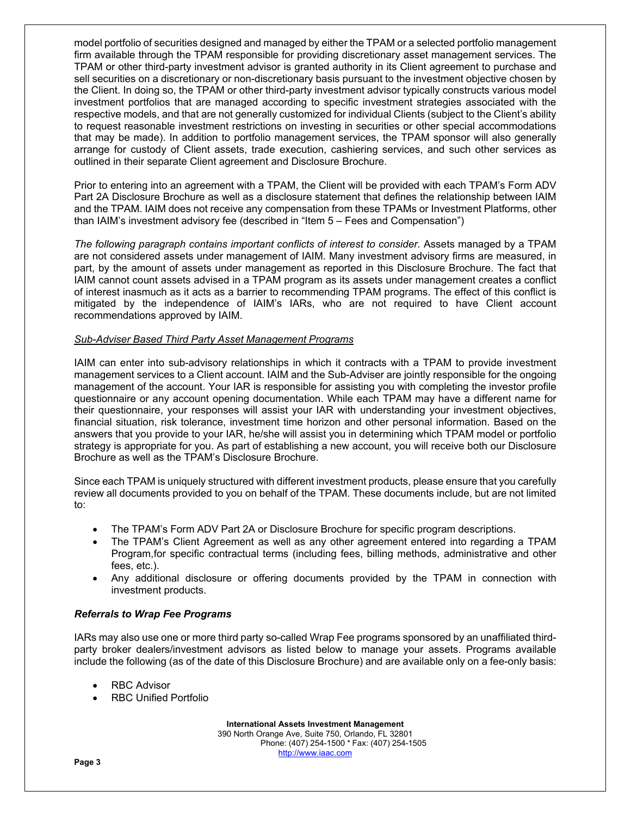model portfolio of securities designed and managed by either the TPAM or a selected portfolio management firm available through the TPAM responsible for providing discretionary asset management services. The TPAM or other third-party investment advisor is granted authority in its Client agreement to purchase and sell securities on a discretionary or non-discretionary basis pursuant to the investment objective chosen by the Client. In doing so, the TPAM or other third-party investment advisor typically constructs various model investment portfolios that are managed according to specific investment strategies associated with the respective models, and that are not generally customized for individual Clients (subject to the Client's ability to request reasonable investment restrictions on investing in securities or other special accommodations that may be made). In addition to portfolio management services, the TPAM sponsor will also generally arrange for custody of Client assets, trade execution, cashiering services, and such other services as outlined in their separate Client agreement and Disclosure Brochure.

Prior to entering into an agreement with a TPAM, the Client will be provided with each TPAM's Form ADV Part 2A Disclosure Brochure as well as a disclosure statement that defines the relationship between IAIM and the TPAM. IAIM does not receive any compensation from these TPAMs or Investment Platforms, other than IAIM's investment advisory fee (described in "Item 5 – Fees and Compensation")

The following paragraph contains important conflicts of interest to consider. Assets managed by a TPAM are not considered assets under management of IAIM. Many investment advisory firms are measured, in part, by the amount of assets under management as reported in this Disclosure Brochure. The fact that IAIM cannot count assets advised in a TPAM program as its assets under management creates a conflict of interest inasmuch as it acts as a barrier to recommending TPAM programs. The effect of this conflict is mitigated by the independence of IAIM's IARs, who are not required to have Client account recommendations approved by IAIM.

# *Sub-Adviser Based Third Party Asset Management Programs*

IAIM can enter into sub-advisory relationships in which it contracts with a TPAM to provide investment management services to a Client account. IAIM and the Sub-Adviser are jointly responsible for the ongoing management of the account. Your IAR is responsible for assisting you with completing the investor profile questionnaire or any account opening documentation. While each TPAM may have a different name for their questionnaire, your responses will assist your IAR with understanding your investment objectives, financial situation, risk tolerance, investment time horizon and other personal information. Based on the answers that you provide to your IAR, he/she will assist you in determining which TPAM model or portfolio strategy is appropriate for you. As part of establishing a new account, you will receive both our Disclosure Brochure as well as the TPAM's Disclosure Brochure.

Since each TPAM is uniquely structured with different investment products, please ensure that you carefully review all documents provided to you on behalf of the TPAM. These documents include, but are not limited to:

- The TPAM's Form ADV Part 2A or Disclosure Brochure for specific program descriptions.
- The TPAM's Client Agreement as well as any other agreement entered into regarding a TPAM Program, for specific contractual terms (including fees, billing methods, administrative and other fees, etc.).
- Any additional disclosure or offering documents provided by the TPAM in connection with investment products.

## *Referrals to Wrap Fee Programs*

IARs may also use one or more third party so-called Wrap Fee programs sponsored by an unaffiliated thirdparty broker dealers/investment advisors as listed below to manage your assets. Programs available include the following (as of the date of this Disclosure Brochure) and are available only on a fee-only basis:

- RBC Advisor
- RBC Unified Portfolio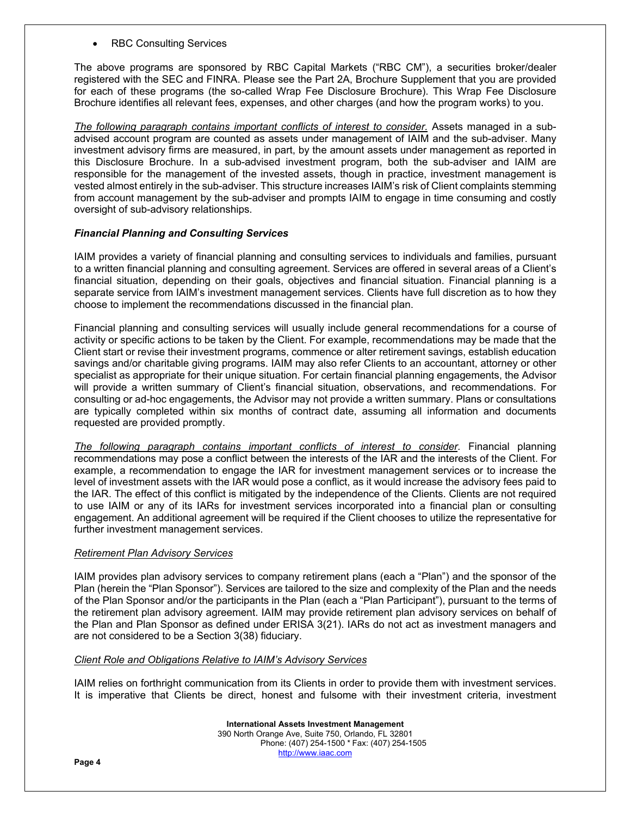RBC Consulting Services

The above programs are sponsored by RBC Capital Markets ("RBC CM"), a securities broker/dealer registered with the SEC and FINRA. Please see the Part 2A, Brochure Supplement that you are provided for each of these programs (the so-called Wrap Fee Disclosure Brochure). This Wrap Fee Disclosure Brochure identifies all relevant fees, expenses, and other charges (and how the program works) to you.

The following paragraph contains important conflicts of interest to consider. Assets managed in a subadvised account program are counted as assets under management of IAIM and the sub-adviser. Many investment advisory firms are measured, in part, by the amount assets under management as reported in this Disclosure Brochure. In a sub-advised investment program, both the sub-adviser and IAIM are responsible for the management of the invested assets, though in practice, investment management is vested almost entirely in the sub-adviser. This structure increases IAIM's risk of Client complaints stemming from account management by the sub-adviser and prompts IAIM to engage in time consuming and costly oversight of sub-advisory relationships.

## *Financial Planning and Consulting Services*

IAIM provides a variety of financial planning and consulting services to individuals and families, pursuant to a written financial planning and consulting agreement. Services are offered in several areas of a Client's financial situation, depending on their goals, objectives and financial situation. Financial planning is a separate service from IAIM's investment management services. Clients have full discretion as to how they choose to implement the recommendations discussed in the financial plan.

Financial planning and consulting services will usually include general recommendations for a course of activity or specific actions to be taken by the Client. For example, recommendations may be made that the Client start or revise their investment programs, commence or alter retirement savings, establish education savings and/or charitable giving programs. IAIM may also refer Clients to an accountant, attorney or other specialist as appropriate for their unique situation. For certain financial planning engagements, the Advisor will provide a written summary of Client's financial situation, observations, and recommendations. For consulting or ad-hoc engagements, the Advisor may not provide a written summary. Plans or consultations are typically completed within six months of contract date, assuming all information and documents requested are provided promptly.

*The following paragraph contains important conflicts of interest to consider.* Financial planning recommendations may pose a conflict between the interests of the IAR and the interests of the Client. For example, a recommendation to engage the IAR for investment management services or to increase the level of investment assets with the IAR would pose a conflict, as it would increase the advisory fees paid to the IAR. The effect of this conflict is mitigated by the independence of the Clients. Clients are not required to use IAIM or any of its IARs for investment services incorporated into a financial plan or consulting engagement. An additional agreement will be required if the Client chooses to utilize the representative for further investment management services.

#### *Retirement Plan Advisory Services*

IAIM provides plan advisory services to company retirement plans (each a "Plan") and the sponsor of the Plan (herein the "Plan Sponsor"). Services are tailored to the size and complexity of the Plan and the needs of the Plan Sponsor and/or the participants in the Plan (each a "Plan Participant"), pursuant to the terms of the retirement plan advisory agreement. IAIM may provide retirement plan advisory services on behalf of the Plan and Plan Sponsor as defined under ERISA 3(21). IARs do not act as investment managers and are not considered to be a Section 3(38) fiduciary.

#### *Client Role and Obligations Relative to IAIM's Advisory Services*

IAIM relies on forthright communication from its Clients in order to provide them with investment services. It is imperative that Clients be direct, honest and fulsome with their investment criteria, investment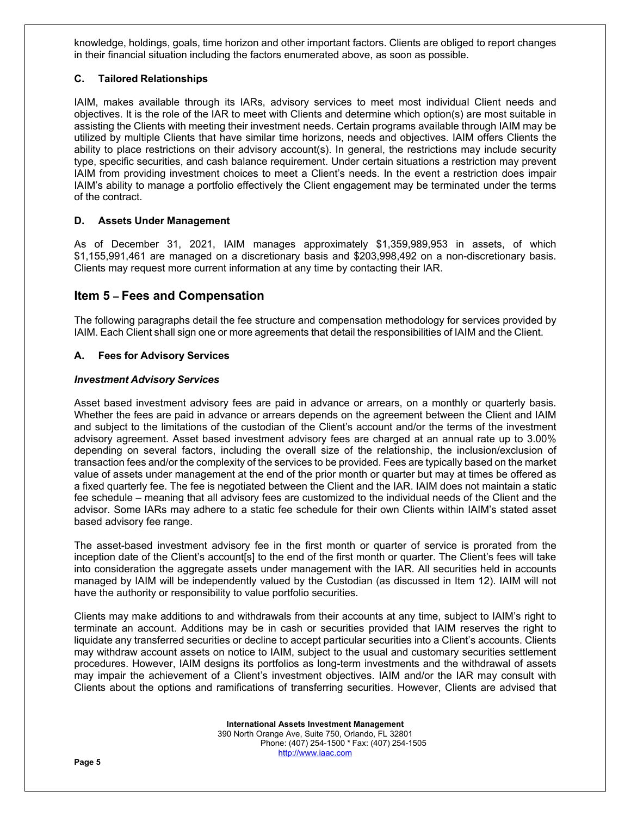knowledge, holdings, goals, time horizon and other important factors. Clients are obliged to report changes in their financial situation including the factors enumerated above, as soon as possible.

# **C. Tailored Relationships**

IAIM, makes available through its IARs, advisory services to meet most individual Client needs and objectives. It is the role of the IAR to meet with Clients and determine which option(s) are most suitable in assisting the Clients with meeting their investment needs. Certain programs available through IAIM may be utilized by multiple Clients that have similar time horizons, needs and objectives. IAIM offers Clients the ability to place restrictions on their advisory account(s). In general, the restrictions may include security type, specific securities, and cash balance requirement. Under certain situations a restriction may prevent IAIM from providing investment choices to meet a Client's needs. In the event a restriction does impair IAIM's ability to manage a portfolio effectively the Client engagement may be terminated under the terms of the contract.

# **D. Assets Under Management**

As of December 31, 2021, IAIM manages approximately \$1,359,989,953 in assets, of which \$1,155,991,461 are managed on a discretionary basis and \$203,998,492 on a non-discretionary basis. Clients may request more current information at any time by contacting their IAR.

# **Item 5 – Fees and Compensation**

The following paragraphs detail the fee structure and compensation methodology for services provided by IAIM. Each Client shall sign one or more agreements that detail the responsibilities of IAIM and the Client.

# **A. Fees for Advisory Services**

## *Investment Advisory Services*

Asset based investment advisory fees are paid in advance or arrears, on a monthly or quarterly basis. Whether the fees are paid in advance or arrears depends on the agreement between the Client and IAIM and subject to the limitations of the custodian of the Client's account and/or the terms of the investment advisory agreement. Asset based investment advisory fees are charged at an annual rate up to 3.00% depending on several factors, including the overall size of the relationship, the inclusion/exclusion of transaction fees and/or the complexity of the services to be provided. Fees are typically based on the market value of assets under management at the end of the prior month or quarter but may at times be offered as a fixed quarterly fee. The fee is negotiated between the Client and the IAR. IAIM does not maintain a static fee schedule – meaning that all advisory fees are customized to the individual needs of the Client and the advisor. Some IARs may adhere to a static fee schedule for their own Clients within IAIM's stated asset based advisory fee range.

The asset-based investment advisory fee in the first month or quarter of service is prorated from the inception date of the Client's accountisl to the end of the first month or quarter. The Client's fees will take into consideration the aggregate assets under management with the IAR. All securities held in accounts managed by IAIM will be independently valued by the Custodian (as discussed in Item 12). IAIM will not have the authority or responsibility to value portfolio securities.

Clients may make additions to and withdrawals from their accounts at any time, subject to IAIM's right to terminate an account. Additions may be in cash or securities provided that IAIM reserves the right to liquidate any transferred securities or decline to accept particular securities into a Client's accounts. Clients may withdraw account assets on notice to IAIM, subject to the usual and customary securities settlement procedures. However, IAIM designs its portfolios as long-term investments and the withdrawal of assets may impair the achievement of a Client's investment objectives. IAIM and/or the IAR may consult with Clients about the options and ramifications of transferring securities. However, Clients are advised that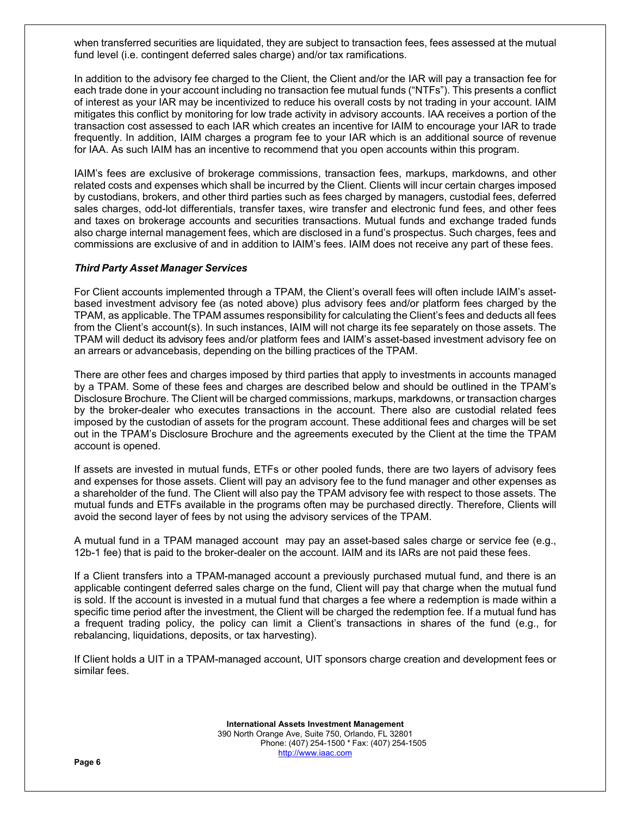when transferred securities are liquidated, they are subject to transaction fees, fees assessed at the mutual fund level (i.e. contingent deferred sales charge) and/or tax ramifications.

In addition to the advisory fee charged to the Client, the Client and/or the IAR will pay a transaction fee for each trade done in your account including no transaction fee mutual funds ("NTFs"). This presents a conflict of interest as your IAR may be incentivized to reduce his overall costs by not trading in your account. IAIM mitigates this conflict by monitoring for low trade activity in advisory accounts. IAA receives a portion of the transaction cost assessed to each IAR which creates an incentive for IAIM to encourage your IAR to trade frequently. In addition, IAIM charges a program fee to your IAR which is an additional source of revenue for IAA. As such IAIM has an incentive to recommend that you open accounts within this program.

IAIM's fees are exclusive of brokerage commissions, transaction fees, markups, markdowns, and other related costs and expenses which shall be incurred by the Client. Clients will incur certain charges imposed by custodians, brokers, and other third parties such as fees charged by managers, custodial fees, deferred sales charges, odd-lot differentials, transfer taxes, wire transfer and electronic fund fees, and other fees and taxes on brokerage accounts and securities transactions. Mutual funds and exchange traded funds also charge internal management fees, which are disclosed in a fund's prospectus. Such charges, fees and commissions are exclusive of and in addition to IAIM's fees. IAIM does not receive any part of these fees.

## *Third Party Asset Manager Services*

For Client accounts implemented through a TPAM, the Client's overall fees will often include IAIM's assetbased investment advisory fee (as noted above) plus advisory fees and/or platform fees charged by the TPAM, as applicable. The TPAM assumes responsibility for calculating the Client's fees and deducts all fees from the Client's account(s). In such instances, IAIM will not charge its fee separately on those assets. The TPAM will deduct its advisory fees and/or platform fees and IAIM's asset-based investment advisory fee on an arrears or advancebasis, depending on the billing practices of the TPAM.

There are other fees and charges imposed by third parties that apply to investments in accounts managed by a TPAM. Some of these fees and charges are described below and should be outlined in the TPAM's Disclosure Brochure. The Client will be charged commissions, markups, markdowns, or transaction charges by the broker-dealer who executes transactions in the account. There also are custodial related fees imposed by the custodian of assets for the program account. These additional fees and charges will be set out in the TPAM's Disclosure Brochure and the agreements executed by the Client at the time the TPAM account is opened.

If assets are invested in mutual funds, ETFs or other pooled funds, there are two layers of advisory fees and expenses for those assets. Client will pay an advisory fee to the fund manager and other expenses as a shareholder of the fund. The Client will also pay the TPAM advisory fee with respect to those assets. The mutual funds and ETFs available in the programs often may be purchased directly. Therefore, Clients will avoid the second layer of fees by not using the advisory services of the TPAM.

A mutual fund in a TPAM managed account may pay an asset-based sales charge or service fee (e.g., 12b-1 fee) that is paid to the broker-dealer on the account. IAIM and its IARs are not paid these fees.

If a Client transfers into a TPAM-managed account a previously purchased mutual fund, and there is an applicable contingent deferred sales charge on the fund, Client will pay that charge when the mutual fund is sold. If the account is invested in a mutual fund that charges a fee where a redemption is made within a specific time period after the investment, the Client will be charged the redemption fee. If a mutual fund has a frequent trading policy, the policy can limit a Client's transactions in shares of the fund (e.g., for rebalancing, liquidations, deposits, or tax harvesting).

If Client holds a UIT in a TPAM-managed account, UIT sponsors charge creation and development fees or similar fees.

> **International Assets Investment Management**  390 North Orange Ave, Suite 750, Orlando, FL 32801 Phone: (407) 254-1500 \* Fax: (407) 254-1505 http://www.iaac.com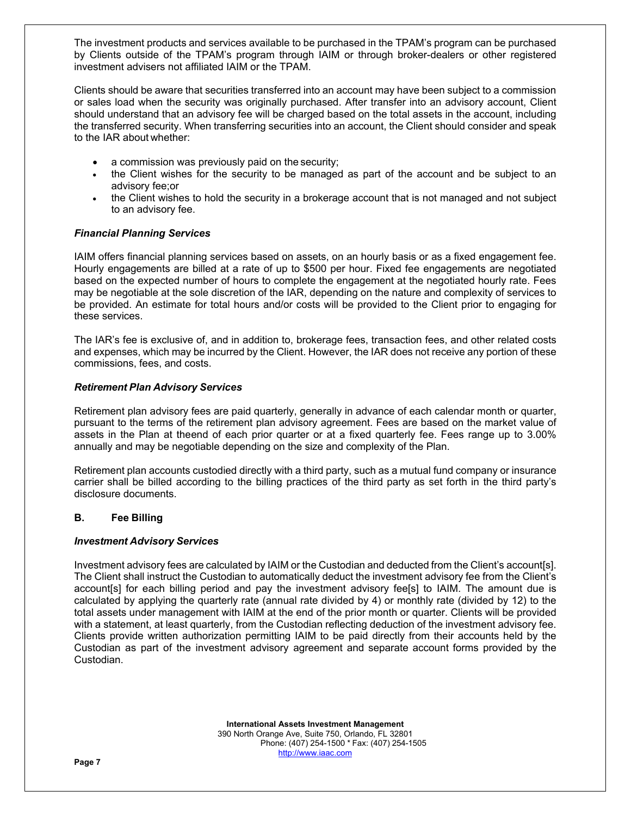The investment products and services available to be purchased in the TPAM's program can be purchased by Clients outside of the TPAM's program through IAIM or through broker-dealers or other registered investment advisers not affiliated IAIM or the TPAM.

Clients should be aware that securities transferred into an account may have been subject to a commission or sales load when the security was originally purchased. After transfer into an advisory account, Client should understand that an advisory fee will be charged based on the total assets in the account, including the transferred security. When transferring securities into an account, the Client should consider and speak to the IAR about whether:

- a commission was previously paid on the security;
- the Client wishes for the security to be managed as part of the account and be subject to an advisory fee; or
- the Client wishes to hold the security in a brokerage account that is not managed and not subject to an advisory fee.

# *Financial Planning Services*

IAIM offers financial planning services based on assets, on an hourly basis or as a fixed engagement fee. Hourly engagements are billed at a rate of up to \$500 per hour. Fixed fee engagements are negotiated based on the expected number of hours to complete the engagement at the negotiated hourly rate. Fees may be negotiable at the sole discretion of the IAR, depending on the nature and complexity of services to be provided. An estimate for total hours and/or costs will be provided to the Client prior to engaging for these services.

The IAR's fee is exclusive of, and in addition to, brokerage fees, transaction fees, and other related costs and expenses, which may be incurred by the Client. However, the IAR does not receive any portion of these commissions, fees, and costs.

## *Retirement Plan Advisory Services*

Retirement plan advisory fees are paid quarterly, generally in advance of each calendar month or quarter, pursuant to the terms of the retirement plan advisory agreement. Fees are based on the market value of assets in the Plan at the end of each prior quarter or at a fixed quarterly fee. Fees range up to 3.00% annually and may be negotiable depending on the size and complexity of the Plan.

Retirement plan accounts custodied directly with a third party, such as a mutual fund company or insurance carrier shall be billed according to the billing practices of the third party as set forth in the third party's disclosure documents.

## **B. Fee Billing**

## *Investment Advisory Services*

Investment advisory fees are calculated by IAIM or the Custodian and deducted from the Client's account[s]. The Client shall instruct the Custodian to automatically deduct the investment advisory fee from the Client's account[s] for each billing period and pay the investment advisory fee[s] to IAIM. The amount due is calculated by applying the quarterly rate (annual rate divided by 4) or monthly rate (divided by 12) to the total assets under management with IAIM at the end of the prior month or quarter. Clients will be provided with a statement, at least quarterly, from the Custodian reflecting deduction of the investment advisory fee. Clients provide written authorization permitting IAIM to be paid directly from their accounts held by the Custodian as part of the investment advisory agreement and separate account forms provided by the Custodian.

> **International Assets Investment Management**  390 North Orange Ave, Suite 750, Orlando, FL 32801 Phone: (407) 254-1500 \* Fax: (407) 254-1505 http://www.iaac.com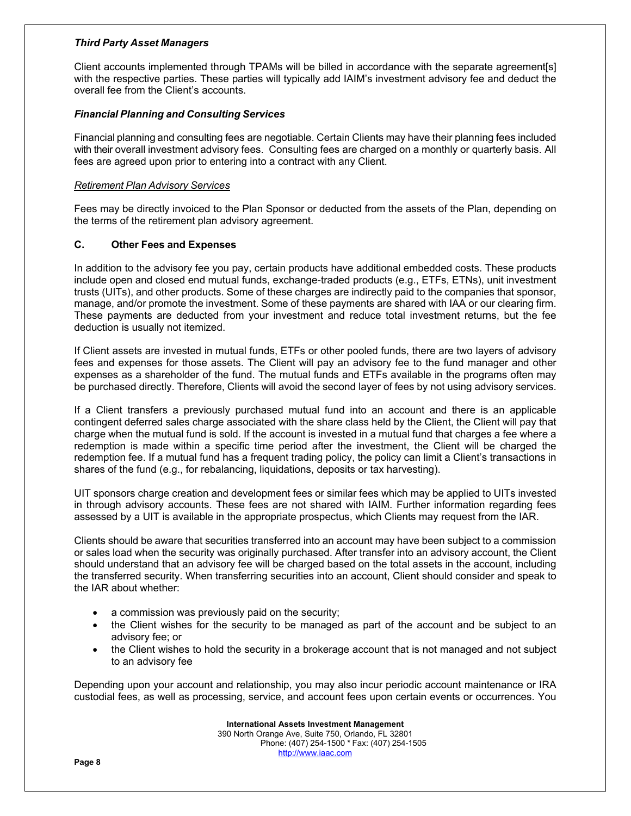# *Third Party Asset Managers*

Client accounts implemented through TPAMs will be billed in accordance with the separate agreement[s] with the respective parties. These parties will typically add IAIM's investment advisory fee and deduct the overall fee from the Client's accounts.

# *Financial Planning and Consulting Services*

Financial planning and consulting fees are negotiable. Certain Clients may have their planning fees included with their overall investment advisory fees. Consulting fees are charged on a monthly or quarterly basis. All fees are agreed upon prior to entering into a contract with any Client.

# *Retirement Plan Advisory Services*

Fees may be directly invoiced to the Plan Sponsor or deducted from the assets of the Plan, depending on the terms of the retirement plan advisory agreement.

# **C. Other Fees and Expenses**

In addition to the advisory fee you pay, certain products have additional embedded costs. These products include open and closed end mutual funds, exchange-traded products (e.g., ETFs, ETNs), unit investment trusts (UITs), and other products. Some of these charges are indirectly paid to the companies that sponsor, manage, and/or promote the investment. Some of these payments are shared with IAA or our clearing firm. These payments are deducted from your investment and reduce total investment returns, but the fee deduction is usually not itemized.

If Client assets are invested in mutual funds, ETFs or other pooled funds, there are two layers of advisory fees and expenses for those assets. The Client will pay an advisory fee to the fund manager and other expenses as a shareholder of the fund. The mutual funds and ETFs available in the programs often may be purchased directly. Therefore, Clients will avoid the second layer of fees by not using advisory services.

If a Client transfers a previously purchased mutual fund into an account and there is an applicable contingent deferred sales charge associated with the share class held by the Client, the Client will pay that charge when the mutual fund is sold. If the account is invested in a mutual fund that charges a fee where a redemption is made within a specific time period after the investment, the Client will be charged the redemption fee. If a mutual fund has a frequent trading policy, the policy can limit a Client's transactions in shares of the fund (e.g., for rebalancing, liquidations, deposits or tax harvesting).

UIT sponsors charge creation and development fees or similar fees which may be applied to UITs invested in through advisory accounts. These fees are not shared with IAIM. Further information regarding fees assessed by a UIT is available in the appropriate prospectus, which Clients may request from the IAR.

Clients should be aware that securities transferred into an account may have been subject to a commission or sales load when the security was originally purchased. After transfer into an advisory account, the Client should understand that an advisory fee will be charged based on the total assets in the account, including the transferred security. When transferring securities into an account, Client should consider and speak to the IAR about whether:

- a commission was previously paid on the security;
- the Client wishes for the security to be managed as part of the account and be subject to an advisory fee; or
- the Client wishes to hold the security in a brokerage account that is not managed and not subject to an advisory fee

Depending upon your account and relationship, you may also incur periodic account maintenance or IRA custodial fees, as well as processing, service, and account fees upon certain events or occurrences. You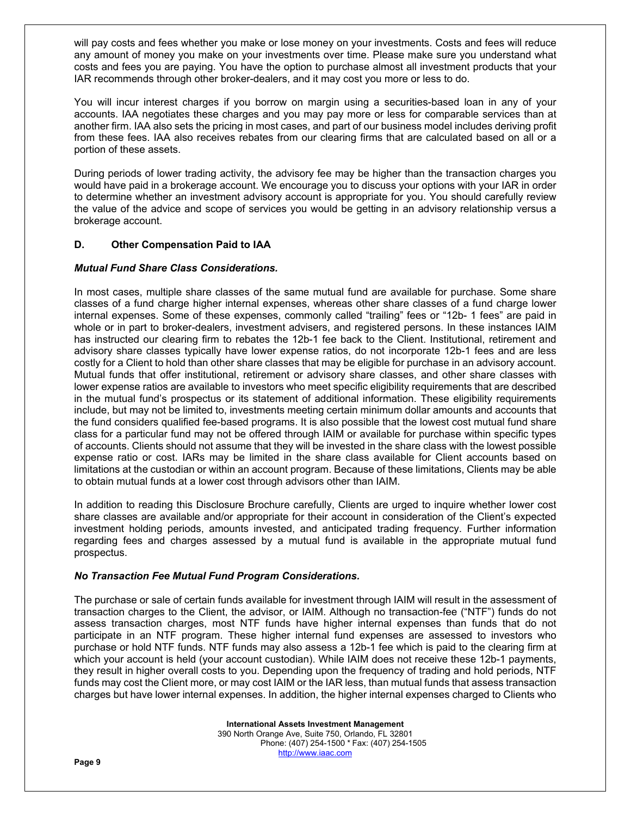will pay costs and fees whether you make or lose money on your investments. Costs and fees will reduce any amount of money you make on your investments over time. Please make sure you understand what costs and fees you are paying. You have the option to purchase almost all investment products that your IAR recommends through other broker-dealers, and it may cost you more or less to do.

You will incur interest charges if you borrow on margin using a securities-based loan in any of your accounts. IAA negotiates these charges and you may pay more or less for comparable services than at another firm. IAA also sets the pricing in most cases, and part of our business model includes deriving profit from these fees. IAA also receives rebates from our clearing firms that are calculated based on all or a portion of these assets.

During periods of lower trading activity, the advisory fee may be higher than the transaction charges you would have paid in a brokerage account. We encourage you to discuss your options with your IAR in order to determine whether an investment advisory account is appropriate for you. You should carefully review the value of the advice and scope of services you would be getting in an advisory relationship versus a brokerage account.

# **D. Other Compensation Paid to IAA**

# *Mutual Fund Share Class Considerations.*

In most cases, multiple share classes of the same mutual fund are available for purchase. Some share classes of a fund charge higher internal expenses, whereas other share classes of a fund charge lower internal expenses. Some of these expenses, commonly called "trailing" fees or "12b- 1 fees" are paid in whole or in part to broker-dealers, investment advisers, and registered persons. In these instances IAIM has instructed our clearing firm to rebates the 12b-1 fee back to the Client. Institutional, retirement and advisory share classes typically have lower expense ratios, do not incorporate 12b-1 fees and are less costly for a Client to hold than other share classes that may be eligible for purchase in an advisory account. Mutual funds that offer institutional, retirement or advisory share classes, and other share classes with lower expense ratios are available to investors who meet specific eligibility requirements that are described in the mutual fund's prospectus or its statement of additional information. These eligibility requirements include, but may not be limited to, investments meeting certain minimum dollar amounts and accounts that the fund considers qualified fee-based programs. It is also possible that the lowest cost mutual fund share class for a particular fund may not be offered through IAIM or available for purchase within specific types of accounts. Clients should not assume that they will be invested in the share class with the lowest possible expense ratio or cost. IARs may be limited in the share class available for Client accounts based on limitations at the custodian or within an account program. Because of these limitations, Clients may be able to obtain mutual funds at a lower cost through advisors other than IAIM.

In addition to reading this Disclosure Brochure carefully, Clients are urged to inquire whether lower cost share classes are available and/or appropriate for their account in consideration of the Client's expected investment holding periods, amounts invested, and anticipated trading frequency. Further information regarding fees and charges assessed by a mutual fund is available in the appropriate mutual fund prospectus.

## *No Transaction Fee Mutual Fund Program Considerations.*

The purchase or sale of certain funds available for investment through IAIM will result in the assessment of transaction charges to the Client, the advisor, or IAIM. Although no transaction-fee ("NTF") funds do not assess transaction charges, most NTF funds have higher internal expenses than funds that do not participate in an NTF program. These higher internal fund expenses are assessed to investors who purchase or hold NTF funds. NTF funds may also assess a 12b-1 fee which is paid to the clearing firm at which your account is held (your account custodian). While IAIM does not receive these 12b-1 payments, they result in higher overall costs to you. Depending upon the frequency of trading and hold periods, NTF funds may cost the Client more, or may cost IAIM or the IAR less, than mutual funds that assess transaction charges but have lower internal expenses. In addition, the higher internal expenses charged to Clients who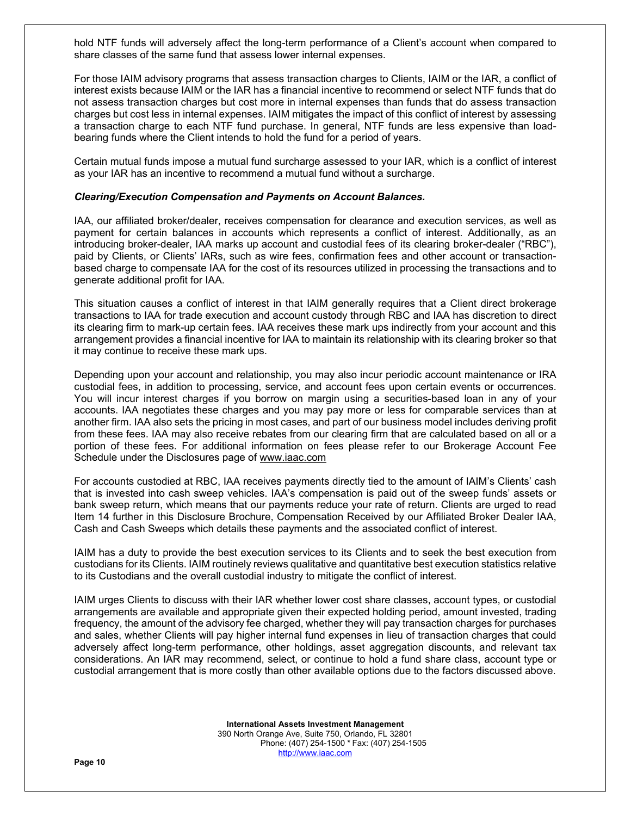hold NTF funds will adversely affect the long-term performance of a Client's account when compared to share classes of the same fund that assess lower internal expenses.

For those IAIM advisory programs that assess transaction charges to Clients, IAIM or the IAR, a conflict of interest exists because IAIM or the IAR has a financial incentive to recommend or select NTF funds that do not assess transaction charges but cost more in internal expenses than funds that do assess transaction charges but cost less in internal expenses. IAIM mitigates the impact of this conflict of interest by assessing a transaction charge to each NTF fund purchase. In general, NTF funds are less expensive than loadbearing funds where the Client intends to hold the fund for a period of years.

Certain mutual funds impose a mutual fund surcharge assessed to your IAR, which is a conflict of interest as your IAR has an incentive to recommend a mutual fund without a surcharge.

#### *Clearing/Execution Compensation and Payments on Account Balances.*

IAA, our affiliated broker/dealer, receives compensation for clearance and execution services, as well as payment for certain balances in accounts which represents a conflict of interest. Additionally, as an introducing broker-dealer, IAA marks up account and custodial fees of its clearing broker-dealer ("RBC"), paid by Clients, or Clients' IARs, such as wire fees, confirmation fees and other account or transactionbased charge to compensate IAA for the cost of its resources utilized in processing the transactions and to generate additional profit for IAA.

This situation causes a conflict of interest in that IAIM generally requires that a Client direct brokerage transactions to IAA for trade execution and account custody through RBC and IAA has discretion to direct its clearing firm to mark-up certain fees. IAA receives these mark ups indirectly from your account and this arrangement provides a financial incentive for IAA to maintain its relationship with its clearing broker so that it may continue to receive these mark ups.

Depending upon your account and relationship, you may also incur periodic account maintenance or IRA custodial fees, in addition to processing, service, and account fees upon certain events or occurrences. You will incur interest charges if you borrow on margin using a securities-based loan in any of your accounts. IAA negotiates these charges and you may pay more or less for comparable services than at another firm. IAA also sets the pricing in most cases, and part of our business model includes deriving profit from these fees. IAA may also receive rebates from our clearing firm that are calculated based on all or a portion of these fees. For additional information on fees please refer to our Brokerage Account Fee Schedule under the Disclosures page of www.iaac.com

For accounts custodied at RBC, IAA receives payments directly tied to the amount of IAIM's Clients' cash that is invested into cash sweep vehicles. IAA's compensation is paid out of the sweep funds' assets or bank sweep return, which means that our payments reduce your rate of return. Clients are urged to read Item 14 further in this Disclosure Brochure, Compensation Received by our Affiliated Broker Dealer IAA, Cash and Cash Sweeps which details these payments and the associated conflict of interest.

IAIM has a duty to provide the best execution services to its Clients and to seek the best execution from custodians for its Clients. IAIM routinely reviews qualitative and quantitative best execution statistics relative to its Custodians and the overall custodial industry to mitigate the conflict of interest.

IAIM urges Clients to discuss with their IAR whether lower cost share classes, account types, or custodial arrangements are available and appropriate given their expected holding period, amount invested, trading frequency, the amount of the advisory fee charged, whether they will pay transaction charges for purchases and sales, whether Clients will pay higher internal fund expenses in lieu of transaction charges that could adversely affect long-term performance, other holdings, asset aggregation discounts, and relevant tax considerations. An IAR may recommend, select, or continue to hold a fund share class, account type or custodial arrangement that is more costly than other available options due to the factors discussed above.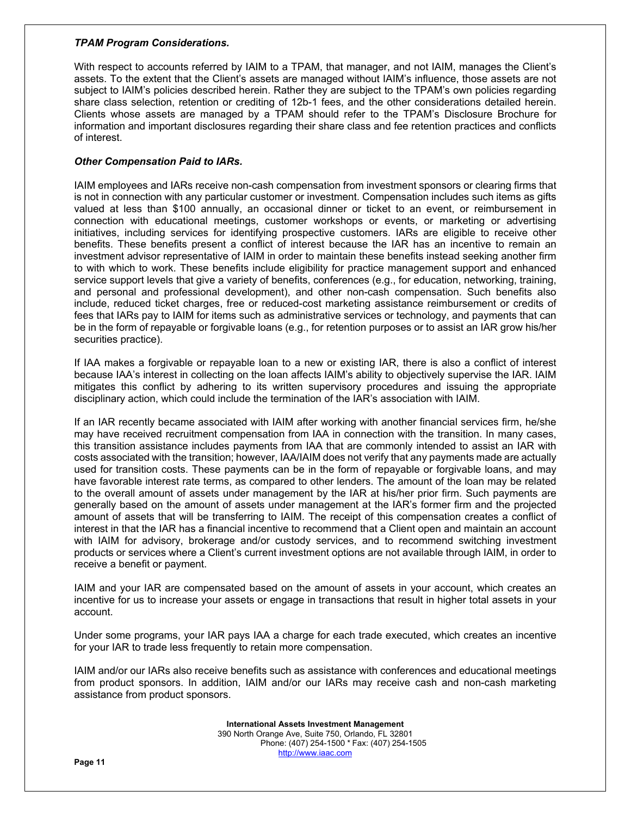#### *TPAM Program Considerations.*

With respect to accounts referred by IAIM to a TPAM, that manager, and not IAIM, manages the Client's assets. To the extent that the Client's assets are managed without IAIM's influence, those assets are not subject to IAIM's policies described herein. Rather they are subject to the TPAM's own policies regarding share class selection, retention or crediting of 12b-1 fees, and the other considerations detailed herein. Clients whose assets are managed by a TPAM should refer to the TPAM's Disclosure Brochure for information and important disclosures regarding their share class and fee retention practices and conflicts of interest.

## *Other Compensation Paid to IARs.*

IAIM employees and IARs receive non-cash compensation from investment sponsors or clearing firms that is not in connection with any particular customer or investment. Compensation includes such items as gifts valued at less than \$100 annually, an occasional dinner or ticket to an event, or reimbursement in connection with educational meetings, customer workshops or events, or marketing or advertising initiatives, including services for identifying prospective customers. IARs are eligible to receive other benefits. These benefits present a conflict of interest because the IAR has an incentive to remain an investment advisor representative of IAIM in order to maintain these benefits instead seeking another firm to with which to work. These benefits include eligibility for practice management support and enhanced service support levels that give a variety of benefits, conferences (e.g., for education, networking, training, and personal and professional development), and other non-cash compensation. Such benefits also include, reduced ticket charges, free or reduced-cost marketing assistance reimbursement or credits of fees that IARs pay to IAIM for items such as administrative services or technology, and payments that can be in the form of repayable or forgivable loans (e.g., for retention purposes or to assist an IAR grow his/her securities practice).

If IAA makes a forgivable or repayable loan to a new or existing IAR, there is also a conflict of interest because IAA's interest in collecting on the loan affects IAIM's ability to objectively supervise the IAR. IAIM mitigates this conflict by adhering to its written supervisory procedures and issuing the appropriate disciplinary action, which could include the termination of the IAR's association with IAIM.

If an IAR recently became associated with IAIM after working with another financial services firm, he/she may have received recruitment compensation from IAA in connection with the transition. In many cases, this transition assistance includes payments from IAA that are commonly intended to assist an IAR with costs associated with the transition; however, IAA/IAIM does not verify that any payments made are actually used for transition costs. These payments can be in the form of repayable or forgivable loans, and may have favorable interest rate terms, as compared to other lenders. The amount of the loan may be related to the overall amount of assets under management by the IAR at his/her prior firm. Such payments are generally based on the amount of assets under management at the IAR's former firm and the projected amount of assets that will be transferring to IAIM. The receipt of this compensation creates a conflict of interest in that the IAR has a financial incentive to recommend that a Client open and maintain an account with IAIM for advisory, brokerage and/or custody services, and to recommend switching investment products or services where a Client's current investment options are not available through IAIM, in order to receive a benefit or payment.

IAIM and your IAR are compensated based on the amount of assets in your account, which creates an incentive for us to increase your assets or engage in transactions that result in higher total assets in your account.

Under some programs, your IAR pays IAA a charge for each trade executed, which creates an incentive for your IAR to trade less frequently to retain more compensation.

IAIM and/or our IARs also receive benefits such as assistance with conferences and educational meetings from product sponsors. In addition, IAIM and/or our IARs may receive cash and non-cash marketing assistance from product sponsors.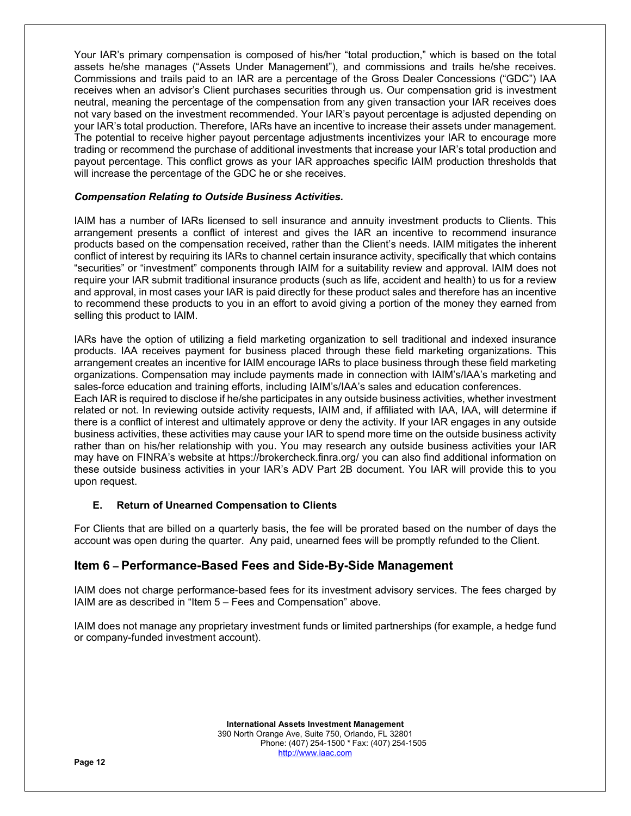Your IAR's primary compensation is composed of his/her "total production," which is based on the total assets he/she manages ("Assets Under Management"), and commissions and trails he/she receives. Commissions and trails paid to an IAR are a percentage of the Gross Dealer Concessions ("GDC") IAA receives when an advisor's Client purchases securities through us. Our compensation grid is investment neutral, meaning the percentage of the compensation from any given transaction your IAR receives does not vary based on the investment recommended. Your IAR's payout percentage is adjusted depending on your IAR's total production. Therefore, IARs have an incentive to increase their assets under management. The potential to receive higher payout percentage adjustments incentivizes your IAR to encourage more trading or recommend the purchase of additional investments that increase your IAR's total production and payout percentage. This conflict grows as your IAR approaches specific IAIM production thresholds that will increase the percentage of the GDC he or she receives.

## *Compensation Relating to Outside Business Activities.*

IAIM has a number of IARs licensed to sell insurance and annuity investment products to Clients. This arrangement presents a conflict of interest and gives the IAR an incentive to recommend insurance products based on the compensation received, rather than the Client's needs. IAIM mitigates the inherent conflict of interest by requiring its IARs to channel certain insurance activity, specifically that which contains "securities" or "investment" components through IAIM for a suitability review and approval. IAIM does not require your IAR submit traditional insurance products (such as life, accident and health) to us for a review and approval, in most cases your IAR is paid directly for these product sales and therefore has an incentive to recommend these products to you in an effort to avoid giving a portion of the money they earned from selling this product to IAIM.

IARs have the option of utilizing a field marketing organization to sell traditional and indexed insurance products. IAA receives payment for business placed through these field marketing organizations. This arrangement creates an incentive for IAIM encourage IARs to place business through these field marketing organizations. Compensation may include payments made in connection with IAIM's/IAA's marketing and sales-force education and training efforts, including IAIM's/IAA's sales and education conferences.

Each IAR is required to disclose if he/she participates in any outside business activities, whether investment related or not. In reviewing outside activity requests, IAIM and, if affiliated with IAA, IAA, will determine if there is a conflict of interest and ultimately approve or deny the activity. If your IAR engages in any outside business activities, these activities may cause your IAR to spend more time on the outside business activity rather than on his/her relationship with you. You may research any outside business activities your IAR may have on FINRA's website at https://brokercheck.finra.org/ you can also find additional information on these outside business activities in your IAR's ADV Part 2B document. You IAR will provide this to you upon request.

## **E. Return of Unearned Compensation to Clients**

For Clients that are billed on a quarterly basis, the fee will be prorated based on the number of days the account was open during the quarter. Any paid, unearned fees will be promptly refunded to the Client.

# **Item 6 – Performance-Based Fees and Side-By-Side Management**

IAIM does not charge performance-based fees for its investment advisory services. The fees charged by IAIM are as described in "Item 5 – Fees and Compensation" above.

IAIM does not manage any proprietary investment funds or limited partnerships (for example, a hedge fund or company-funded investment account).

> **International Assets Investment Management**  390 North Orange Ave, Suite 750, Orlando, FL 32801 Phone: (407) 254-1500 \* Fax: (407) 254-1505 http://www.iaac.com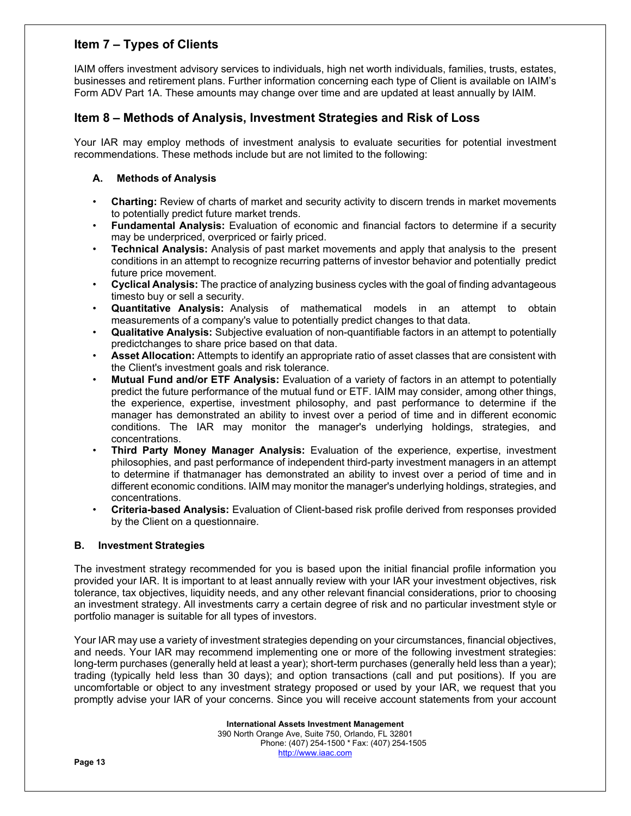# **Item 7 – Types of Clients**

IAIM offers investment advisory services to individuals, high net worth individuals, families, trusts, estates, businesses and retirement plans. Further information concerning each type of Client is available on IAIM's Form ADV Part 1A. These amounts may change over time and are updated at least annually by IAIM.

# **Item 8 – Methods of Analysis, Investment Strategies and Risk of Loss**

Your IAR may employ methods of investment analysis to evaluate securities for potential investment recommendations. These methods include but are not limited to the following:

# **A. Methods of Analysis**

- **Charting:** Review of charts of market and security activity to discern trends in market movements to potentially predict future market trends.
- **Fundamental Analysis:** Evaluation of economic and financial factors to determine if a security may be underpriced, overpriced or fairly priced.
- **Technical Analysis:** Analysis of past market movements and apply that analysis to the present conditions in an attempt to recognize recurring patterns of investor behavior and potentially predict future price movement.
- **Cyclical Analysis:** The practice of analyzing business cycles with the goal of finding advantageous timesto buy or sell a security.
- **Quantitative Analysis:** Analysis of mathematical models in an attempt to obtain measurements of a company's value to potentially predict changes to that data.
- **Qualitative Analysis:** Subjective evaluation of non-quantifiable factors in an attempt to potentially predict changes to share price based on that data.
- **Asset Allocation:** Attempts to identify an appropriate ratio of asset classes that are consistent with the Client's investment goals and risk tolerance.
- **Mutual Fund and/or ETF Analysis:** Evaluation of a variety of factors in an attempt to potentially predict the future performance of the mutual fund or ETF. IAIM may consider, among other things, the experience, expertise, investment philosophy, and past performance to determine if the manager has demonstrated an ability to invest over a period of time and in different economic conditions. The IAR may monitor the manager's underlying holdings, strategies, and concentrations.
- **Third Party Money Manager Analysis:** Evaluation of the experience, expertise, investment philosophies, and past performance of independent third-party investment managers in an attempt to determine if that manager has demonstrated an ability to invest over a period of time and in different economic conditions. IAIM may monitor the manager's underlying holdings, strategies, and concentrations.
- **Criteria-based Analysis:** Evaluation of Client-based risk profile derived from responses provided by the Client on a questionnaire.

# **B. Investment Strategies**

The investment strategy recommended for you is based upon the initial financial profile information you provided your IAR. It is important to at least annually review with your IAR your investment objectives, risk tolerance, tax objectives, liquidity needs, and any other relevant financial considerations, prior to choosing an investment strategy. All investments carry a certain degree of risk and no particular investment style or portfolio manager is suitable for all types of investors.

Your IAR may use a variety of investment strategies depending on your circumstances, financial objectives, and needs. Your IAR may recommend implementing one or more of the following investment strategies: long-term purchases (generally held at least a year); short-term purchases (generally held less than a year); trading (typically held less than 30 days); and option transactions (call and put positions). If you are uncomfortable or object to any investment strategy proposed or used by your IAR, we request that you promptly advise your IAR of your concerns. Since you will receive account statements from your account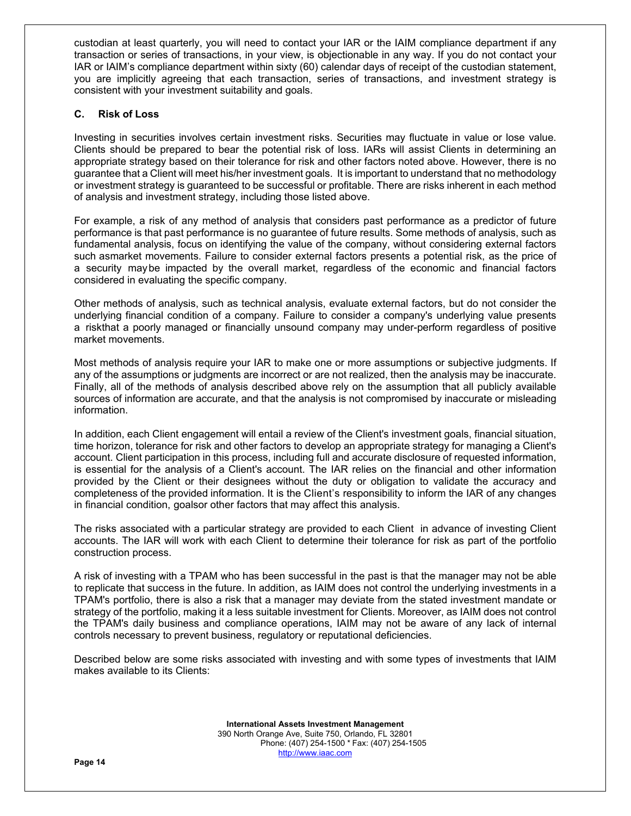custodian at least quarterly, you will need to contact your IAR or the IAIM compliance department if any transaction or series of transactions, in your view, is objectionable in any way. If you do not contact your IAR or IAIM's compliance department within sixty (60) calendar days of receipt of the custodian statement, you are implicitly agreeing that each transaction, series of transactions, and investment strategy is consistent with your investment suitability and goals.

# **C. Risk of Loss**

Investing in securities involves certain investment risks. Securities may fluctuate in value or lose value. Clients should be prepared to bear the potential risk of loss. IARs will assist Clients in determining an appropriate strategy based on their tolerance for risk and other factors noted above. However, there is no guarantee that a Client will meet his/her investment goals. It is important to understand that no methodology or investment strategy is guaranteed to be successful or profitable. There are risks inherent in each method of analysis and investment strategy, including those listed above.

For example, a risk of any method of analysis that considers past performance as a predictor of future performance is that past performance is no guarantee of future results. Some methods of analysis, such as fundamental analysis, focus on identifying the value of the company, without considering external factors such as market movements. Failure to consider external factors presents a potential risk, as the price of a security may be impacted by the overall market, regardless of the economic and financial factors considered in evaluating the specific company.

Other methods of analysis, such as technical analysis, evaluate external factors, but do not consider the underlying financial condition of a company. Failure to consider a company's underlying value presents a risk that a poorly managed or financially unsound company may under-perform regardless of positive market movements.

Most methods of analysis require your IAR to make one or more assumptions or subjective judgments. If any of the assumptions or judgments are incorrect or are not realized, then the analysis may be inaccurate. Finally, all of the methods of analysis described above rely on the assumption that all publicly available sources of information are accurate, and that the analysis is not compromised by inaccurate or misleading information.

In addition, each Client engagement will entail a review of the Client's investment goals, financial situation, time horizon, tolerance for risk and other factors to develop an appropriate strategy for managing a Client's account. Client participation in this process, including full and accurate disclosure of requested information, is essential for the analysis of a Client's account. The IAR relies on the financial and other information provided by the Client or their designees without the duty or obligation to validate the accuracy and completeness of the provided information. It is the Client's responsibility to inform the IAR of any changes in financial condition, goals or other factors that may affect this analysis.

The risks associated with a particular strategy are provided to each Client in advance of investing Client accounts. The IAR will work with each Client to determine their tolerance for risk as part of the portfolio construction process.

A risk of investing with a TPAM who has been successful in the past is that the manager may not be able to replicate that success in the future. In addition, as IAIM does not control the underlying investments in a TPAM's portfolio, there is also a risk that a manager may deviate from the stated investment mandate or strategy of the portfolio, making it a less suitable investment for Clients. Moreover, as IAIM does not control the TPAM's daily business and compliance operations, IAIM may not be aware of any lack of internal controls necessary to prevent business, regulatory or reputational deficiencies.

Described below are some risks associated with investing and with some types of investments that IAIM makes available to its Clients:

> **International Assets Investment Management**  390 North Orange Ave, Suite 750, Orlando, FL 32801 Phone: (407) 254-1500 \* Fax: (407) 254-1505 http://www.iaac.com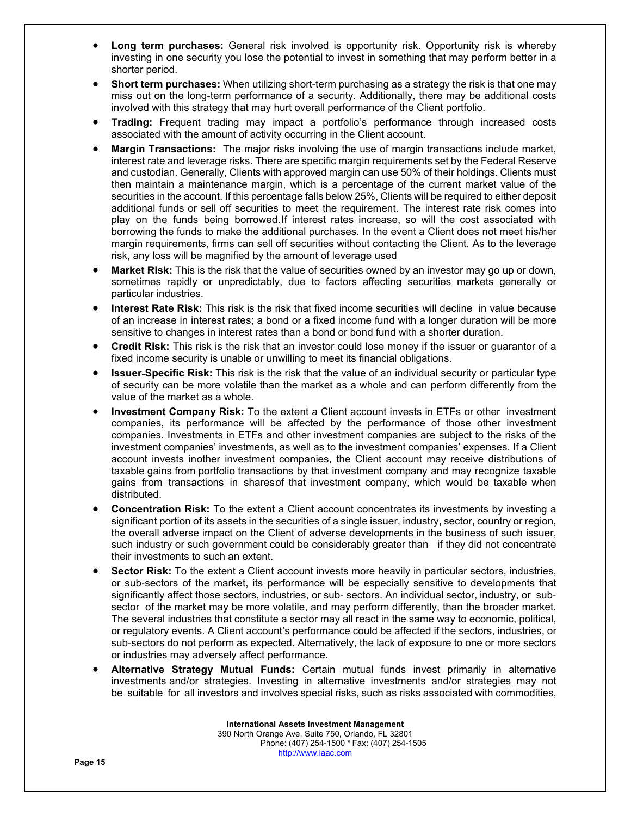- **Long term purchases:** General risk involved is opportunity risk. Opportunity risk is whereby investing in one security you lose the potential to invest in something that may perform better in a shorter period.
- **Short term purchases:** When utilizing short-term purchasing as a strategy the risk is that one may miss out on the long-term performance of a security. Additionally, there may be additional costs involved with this strategy that may hurt overall performance of the Client portfolio.
- **Trading:** Frequent trading may impact a portfolio's performance through increased costs associated with the amount of activity occurring in the Client account.
- **Margin Transactions:** The major risks involving the use of margin transactions include market, interest rate and leverage risks. There are specific margin requirements set by the Federal Reserve and custodian. Generally, Clients with approved margin can use 50% of their holdings. Clients must then maintain a maintenance margin, which is a percentage of the current market value of the securities in the account. If this percentage falls below 25%, Clients will be required to either deposit additional funds or sell off securities to meet the requirement. The interest rate risk comes into play on the funds being borrowed. If interest rates increase, so will the cost associated with borrowing the funds to make the additional purchases. In the event a Client does not meet his/her margin requirements, firms can sell off securities without contacting the Client. As to the leverage risk, any loss will be magnified by the amount of leverage used
- **Market Risk:** This is the risk that the value of securities owned by an investor may go up or down, sometimes rapidly or unpredictably, due to factors affecting securities markets generally or particular industries.
- **Interest Rate Risk:** This risk is the risk that fixed income securities will decline in value because of an increase in interest rates; a bond or a fixed income fund with a longer duration will be more sensitive to changes in interest rates than a bond or bond fund with a shorter duration.
- **Credit Risk:** This risk is the risk that an investor could lose money if the issuer or guarantor of a fixed income security is unable or unwilling to meet its financial obligations.
- **Issuer**-**Specific Risk:** This risk is the risk that the value of an individual security or particular type of security can be more volatile than the market as a whole and can perform differently from the value of the market as a whole.
- **Investment Company Risk:** To the extent a Client account invests in ETFs or other investment companies, its performance will be affected by the performance of those other investment companies. Investments in ETFs and other investment companies are subject to the risks of the investment companies' investments, as well as to the investment companies' expenses. If a Client account invests inother investment companies, the Client account may receive distributions of taxable gains from portfolio transactions by that investment company and may recognize taxable gains from transactions in shares of that investment company, which would be taxable when distributed.
- **Concentration Risk:** To the extent a Client account concentrates its investments by investing a significant portion of its assets in the securities of a single issuer, industry, sector, country or region, the overall adverse impact on the Client of adverse developments in the business of such issuer, such industry or such government could be considerably greater than if they did not concentrate their investments to such an extent.
- **Sector Risk:** To the extent a Client account invests more heavily in particular sectors, industries, or sub-sectors of the market, its performance will be especially sensitive to developments that significantly affect those sectors, industries, or sub- sectors. An individual sector, industry, or subsector of the market may be more volatile, and may perform differently, than the broader market. The several industries that constitute a sector may all react in the same way to economic, political, or regulatory events. A Client account's performance could be affected if the sectors, industries, or sub-sectors do not perform as expected. Alternatively, the lack of exposure to one or more sectors or industries may adversely affect performance.
- **Alternative Strategy Mutual Funds:** Certain mutual funds invest primarily in alternative investments and/or strategies. Investing in alternative investments and/or strategies may not be suitable for all investors and involves special risks, such as risks associated with commodities,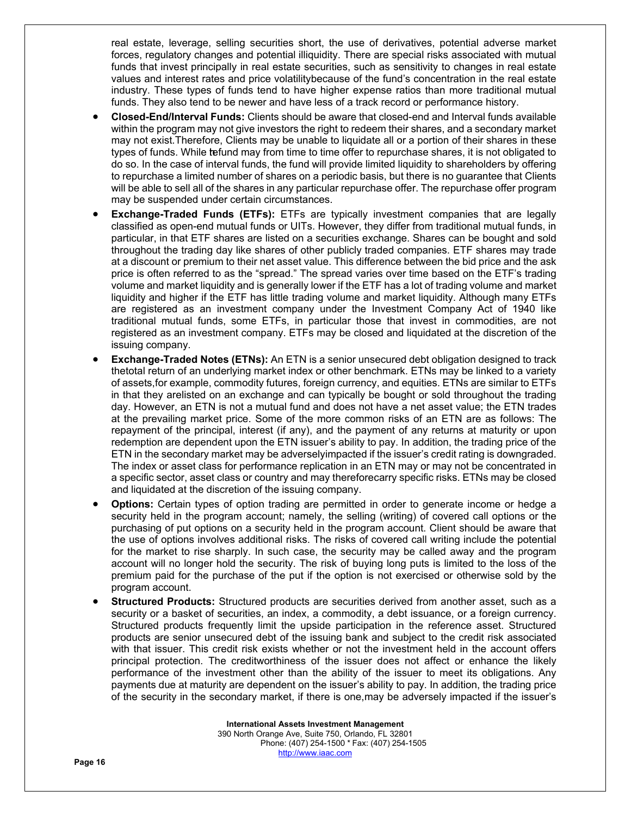real estate, leverage, selling securities short, the use of derivatives, potential adverse market forces, regulatory changes and potential illiquidity. There are special risks associated with mutual funds that invest principally in real estate securities, such as sensitivity to changes in real estate values and interest rates and price volatility because of the fund's concentration in the real estate industry. These types of funds tend to have higher expense ratios than more traditional mutual funds. They also tend to be newer and have less of a track record or performance history.

- **Closed-End/Interval Funds:** Clients should be aware that closed-end and Interval funds available within the program may not give investors the right to redeem their shares, and a secondary market may not exist. Therefore, Clients may be unable to liquidate all or a portion of their shares in these types of funds. While tefund may from time to time offer to repurchase shares, it is not obligated to do so. In the case of interval funds, the fund will provide limited liquidity to shareholders by offering to repurchase a limited number of shares on a periodic basis, but there is no guarantee that Clients will be able to sell all of the shares in any particular repurchase offer. The repurchase offer program may be suspended under certain circumstances.
- **Exchange-Traded Funds (ETFs):** ETFs are typically investment companies that are legally classified as open-end mutual funds or UITs. However, they differ from traditional mutual funds, in particular, in that ETF shares are listed on a securities exchange. Shares can be bought and sold throughout the trading day like shares of other publicly traded companies. ETF shares may trade at a discount or premium to their net asset value. This difference between the bid price and the ask price is often referred to as the "spread." The spread varies over time based on the ETF's trading volume and market liquidity and is generally lower if the ETF has a lot of trading volume and market liquidity and higher if the ETF has little trading volume and market liquidity. Although many ETFs are registered as an investment company under the Investment Company Act of 1940 like traditional mutual funds, some ETFs, in particular those that invest in commodities, are not registered as an investment company. ETFs may be closed and liquidated at the discretion of the issuing company.
- **Exchange-Traded Notes (ETNs):** An ETN is a senior unsecured debt obligation designed to track the total return of an underlying market index or other benchmark. ETNs may be linked to a variety of assets, for example, commodity futures, foreign currency, and equities. ETNs are similar to ETFs in that they are listed on an exchange and can typically be bought or sold throughout the trading day. However, an ETN is not a mutual fund and does not have a net asset value; the ETN trades at the prevailing market price. Some of the more common risks of an ETN are as follows: The repayment of the principal, interest (if any), and the payment of any returns at maturity or upon redemption are dependent upon the ETN issuer's ability to pay. In addition, the trading price of the ETN in the secondary market may be adversely impacted if the issuer's credit rating is downgraded. The index or asset class for performance replication in an ETN may or may not be concentrated in a specific sector, asset class or country and may thereforecarry specific risks. ETNs may be closed and liquidated at the discretion of the issuing company.
- **Options:** Certain types of option trading are permitted in order to generate income or hedge a security held in the program account; namely, the selling (writing) of covered call options or the purchasing of put options on a security held in the program account. Client should be aware that the use of options involves additional risks. The risks of covered call writing include the potential for the market to rise sharply. In such case, the security may be called away and the program account will no longer hold the security. The risk of buying long puts is limited to the loss of the premium paid for the purchase of the put if the option is not exercised or otherwise sold by the program account.
- **Structured Products:** Structured products are securities derived from another asset, such as a security or a basket of securities, an index, a commodity, a debt issuance, or a foreign currency. Structured products frequently limit the upside participation in the reference asset. Structured products are senior unsecured debt of the issuing bank and subject to the credit risk associated with that issuer. This credit risk exists whether or not the investment held in the account offers principal protection. The creditworthiness of the issuer does not affect or enhance the likely performance of the investment other than the ability of the issuer to meet its obligations. Any payments due at maturity are dependent on the issuer's ability to pay. In addition, the trading price of the security in the secondary market, if there is one, may be adversely impacted if the issuer's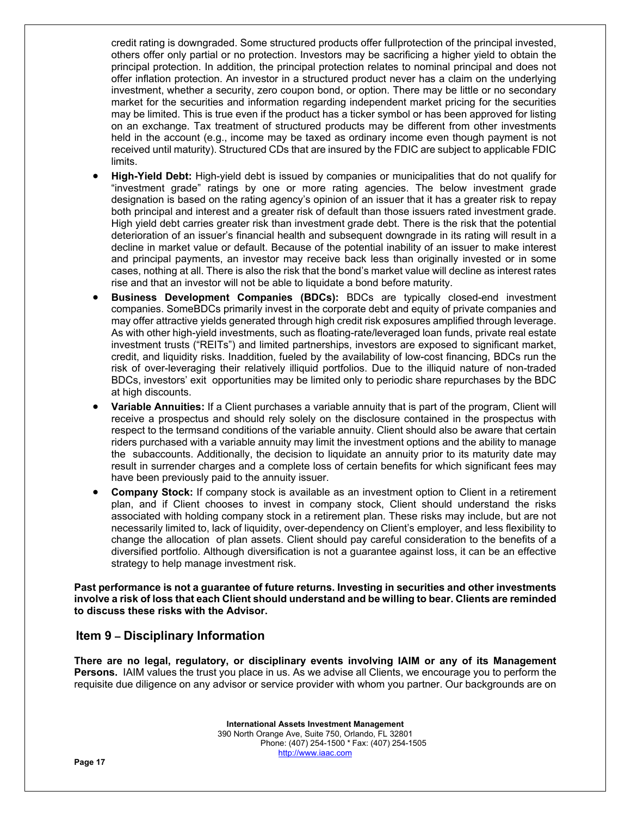credit rating is downgraded. Some structured products offer fullprotection of the principal invested, others offer only partial or no protection. Investors may be sacrificing a higher yield to obtain the principal protection. In addition, the principal protection relates to nominal principal and does not offer inflation protection. An investor in a structured product never has a claim on the underlying investment, whether a security, zero coupon bond, or option. There may be little or no secondary market for the securities and information regarding independent market pricing for the securities may be limited. This is true even if the product has a ticker symbol or has been approved for listing on an exchange. Tax treatment of structured products may be different from other investments held in the account (e.g., income may be taxed as ordinary income even though payment is not received until maturity). Structured CDs that are insured by the FDIC are subject to applicable FDIC limits.

- **High-Yield Debt:** High-yield debt is issued by companies or municipalities that do not qualify for "investment grade" ratings by one or more rating agencies. The below investment grade designation is based on the rating agency's opinion of an issuer that it has a greater risk to repay both principal and interest and a greater risk of default than those issuers rated investment grade. High yield debt carries greater risk than investment grade debt. There is the risk that the potential deterioration of an issuer's financial health and subsequent downgrade in its rating will result in a decline in market value or default. Because of the potential inability of an issuer to make interest and principal payments, an investor may receive back less than originally invested or in some cases, nothing at all. There is also the risk that the bond's market value will decline as interest rates rise and that an investor will not be able to liquidate a bond before maturity.
- **Business Development Companies (BDCs):** BDCs are typically closed-end investment companies. Some BDCs primarily invest in the corporate debt and equity of private companies and may offer attractive yields generated through high credit risk exposures amplified through leverage. As with other high-yield investments, such as floating-rate/leveraged loan funds, private real estate investment trusts ("REITs") and limited partnerships, investors are exposed to significant market, credit, and liquidity risks. In addition, fueled by the availability of low-cost financing, BDCs run the risk of over-leveraging their relatively illiquid portfolios. Due to the illiquid nature of non-traded BDCs, investors' exit opportunities may be limited only to periodic share repurchases by the BDC at high discounts.
- **Variable Annuities:** If a Client purchases a variable annuity that is part of the program, Client will receive a prospectus and should rely solely on the disclosure contained in the prospectus with respect to the terms and conditions of the variable annuity. Client should also be aware that certain riders purchased with a variable annuity may limit the investment options and the ability to manage the subaccounts. Additionally, the decision to liquidate an annuity prior to its maturity date may result in surrender charges and a complete loss of certain benefits for which significant fees may have been previously paid to the annuity issuer.
- **Company Stock:** If company stock is available as an investment option to Client in a retirement plan, and if Client chooses to invest in company stock, Client should understand the risks associated with holding company stock in a retirement plan. These risks may include, but are not necessarily limited to, lack of liquidity, over-dependency on Client's employer, and less flexibility to change the allocation of plan assets. Client should pay careful consideration to the benefits of a diversified portfolio. Although diversification is not a guarantee against loss, it can be an effective strategy to help manage investment risk.

**Past performance is not a guarantee of future returns. Investing in securities and other investments involve a risk of loss that each Client should understand and be willing to bear. Clients are reminded to discuss these risks with the Advisor.** 

# **Item 9 – Disciplinary Information**

**There are no legal, regulatory, or disciplinary events involving IAIM or any of its Management Persons.** IAIM values the trust you place in us. As we advise all Clients, we encourage you to perform the requisite due diligence on any advisor or service provider with whom you partner. Our backgrounds are on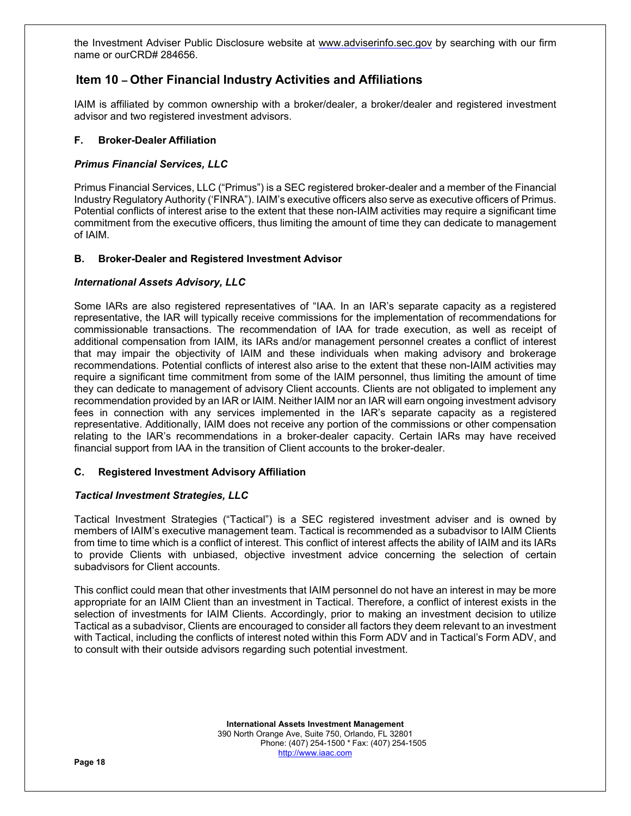the Investment Adviser Public Disclosure website at www.adviserinfo.sec.gov by searching with our firm name or our CRD# 284656.

# **Item 10 – Other Financial Industry Activities and Affiliations**

IAIM is affiliated by common ownership with a broker/dealer, a broker/dealer and registered investment advisor and two registered investment advisors.

# **F. Broker-Dealer Affiliation**

# *Primus Financial Services, LLC*

Primus Financial Services, LLC ("Primus") is a SEC registered broker-dealer and a member of the Financial Industry Regulatory Authority ('FINRA"). IAIM's executive officers also serve as executive officers of Primus. Potential conflicts of interest arise to the extent that these non-IAIM activities may require a significant time commitment from the executive officers, thus limiting the amount of time they can dedicate to management of IAIM.

# **B. Broker-Dealer and Registered Investment Advisor**

# *International Assets Advisory, LLC*

Some IARs are also registered representatives of "IAA. In an IAR's separate capacity as a registered representative, the IAR will typically receive commissions for the implementation of recommendations for commissionable transactions. The recommendation of IAA for trade execution, as well as receipt of additional compensation from IAIM, its IARs and/or management personnel creates a conflict of interest that may impair the objectivity of IAIM and these individuals when making advisory and brokerage recommendations. Potential conflicts of interest also arise to the extent that these non-IAIM activities may require a significant time commitment from some of the IAIM personnel, thus limiting the amount of time they can dedicate to management of advisory Client accounts. Clients are not obligated to implement any recommendation provided by an IAR or IAIM. Neither IAIM nor an IAR will earn ongoing investment advisory fees in connection with any services implemented in the IAR's separate capacity as a registered representative. Additionally, IAIM does not receive any portion of the commissions or other compensation relating to the IAR's recommendations in a broker-dealer capacity. Certain IARs may have received financial support from IAA in the transition of Client accounts to the broker-dealer.

## **C. Registered Investment Advisory Affiliation**

## *Tactical Investment Strategies, LLC*

Tactical Investment Strategies ("Tactical") is a SEC registered investment adviser and is owned by members of IAIM's executive management team. Tactical is recommended as a subadvisor to IAIM Clients from time to time which is a conflict of interest. This conflict of interest affects the ability of IAIM and its IARs to provide Clients with unbiased, objective investment advice concerning the selection of certain subadvisors for Client accounts.

This conflict could mean that other investments that IAIM personnel do not have an interest in may be more appropriate for an IAIM Client than an investment in Tactical. Therefore, a conflict of interest exists in the selection of investments for IAIM Clients. Accordingly, prior to making an investment decision to utilize Tactical as a subadvisor, Clients are encouraged to consider all factors they deem relevant to an investment with Tactical, including the conflicts of interest noted within this Form ADV and in Tactical's Form ADV, and to consult with their outside advisors regarding such potential investment.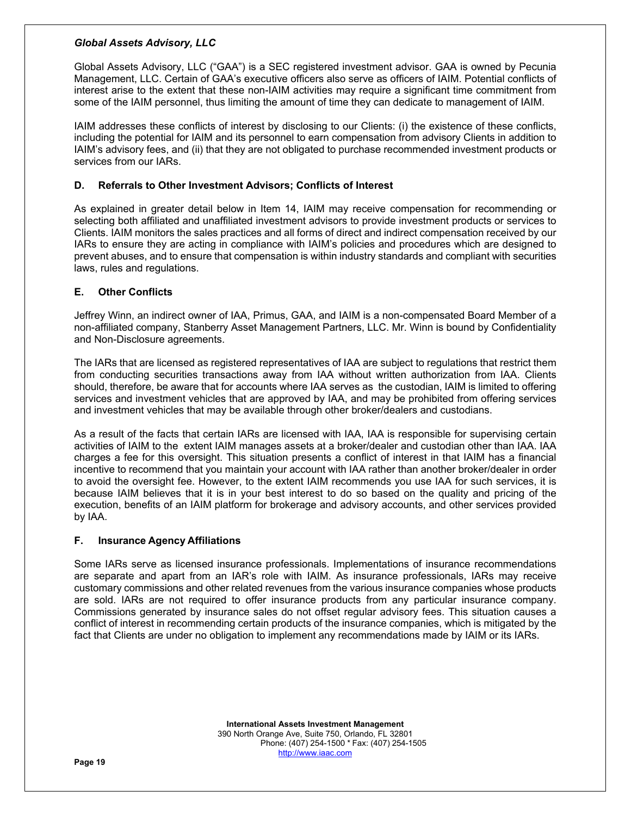## *Global Assets Advisory, LLC*

Global Assets Advisory, LLC ("GAA") is a SEC registered investment advisor. GAA is owned by Pecunia Management, LLC. Certain of GAA's executive officers also serve as officers of IAIM. Potential conflicts of interest arise to the extent that these non-IAIM activities may require a significant time commitment from some of the IAIM personnel, thus limiting the amount of time they can dedicate to management of IAIM.

IAIM addresses these conflicts of interest by disclosing to our Clients: (i) the existence of these conflicts, including the potential for IAIM and its personnel to earn compensation from advisory Clients in addition to IAIM's advisory fees, and (ii) that they are not obligated to purchase recommended investment products or services from our IARs.

# **D. Referrals to Other Investment Advisors; Conflicts of Interest**

As explained in greater detail below in Item 14, IAIM may receive compensation for recommending or selecting both affiliated and unaffiliated investment advisors to provide investment products or services to Clients. IAIM monitors the sales practices and all forms of direct and indirect compensation received by our IARs to ensure they are acting in compliance with IAIM's policies and procedures which are designed to prevent abuses, and to ensure that compensation is within industry standards and compliant with securities laws, rules and regulations.

# **E. Other Conflicts**

Jeffrey Winn, an indirect owner of IAA, Primus, GAA, and IAIM is a non-compensated Board Member of a non-affiliated company, Stanberry Asset Management Partners, LLC. Mr. Winn is bound by Confidentiality and Non-Disclosure agreements.

The IARs that are licensed as registered representatives of IAA are subject to regulations that restrict them from conducting securities transactions away from IAA without written authorization from IAA. Clients should, therefore, be aware that for accounts where IAA serves as the custodian, IAIM is limited to offering services and investment vehicles that are approved by IAA, and may be prohibited from offering services and investment vehicles that may be available through other broker/dealers and custodians.

As a result of the facts that certain IARs are licensed with IAA, IAA is responsible for supervising certain activities of IAIM to the extent IAIM manages assets at a broker/dealer and custodian other than IAA. IAA charges a fee for this oversight. This situation presents a conflict of interest in that IAIM has a financial incentive to recommend that you maintain your account with IAA rather than another broker/dealer in order to avoid the oversight fee. However, to the extent IAIM recommends you use IAA for such services, it is because IAIM believes that it is in your best interest to do so based on the quality and pricing of the execution, benefits of an IAIM platform for brokerage and advisory accounts, and other services provided by IAA.

## **F. Insurance Agency Affiliations**

Some IARs serve as licensed insurance professionals. Implementations of insurance recommendations are separate and apart from an IAR's role with IAIM. As insurance professionals, IARs may receive customary commissions and other related revenues from the various insurance companies whose products are sold. IARs are not required to offer insurance products from any particular insurance company. Commissions generated by insurance sales do not offset regular advisory fees. This situation causes a conflict of interest in recommending certain products of the insurance companies, which is mitigated by the fact that Clients are under no obligation to implement any recommendations made by IAIM or its IARs.

> **International Assets Investment Management**  390 North Orange Ave, Suite 750, Orlando, FL 32801 Phone: (407) 254-1500 \* Fax: (407) 254-1505 http://www.iaac.com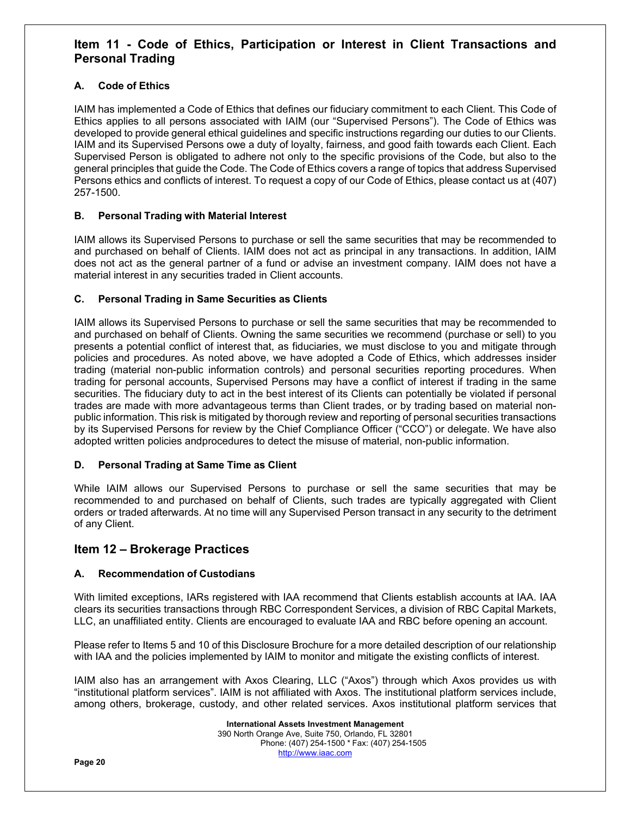# **Item 11 - Code of Ethics, Participation or Interest in Client Transactions and Personal Trading**

# **A. Code of Ethics**

IAIM has implemented a Code of Ethics that defines our fiduciary commitment to each Client. This Code of Ethics applies to all persons associated with IAIM (our "Supervised Persons"). The Code of Ethics was developed to provide general ethical guidelines and specific instructions regarding our duties to our Clients. IAIM and its Supervised Persons owe a duty of loyalty, fairness, and good faith towards each Client. Each Supervised Person is obligated to adhere not only to the specific provisions of the Code, but also to the general principles that guide the Code. The Code of Ethics covers a range of topics that address Supervised Persons ethics and conflicts of interest. To request a copy of our Code of Ethics, please contact us at (407) 257-1500.

# **B. Personal Trading with Material Interest**

IAIM allows its Supervised Persons to purchase or sell the same securities that may be recommended to and purchased on behalf of Clients. IAIM does not act as principal in any transactions. In addition, IAIM does not act as the general partner of a fund or advise an investment company. IAIM does not have a material interest in any securities traded in Client accounts.

# **C. Personal Trading in Same Securities as Clients**

IAIM allows its Supervised Persons to purchase or sell the same securities that may be recommended to and purchased on behalf of Clients. Owning the same securities we recommend (purchase or sell) to you presents a potential conflict of interest that, as fiduciaries, we must disclose to you and mitigate through policies and procedures. As noted above, we have adopted a Code of Ethics, which addresses insider trading (material non-public information controls) and personal securities reporting procedures. When trading for personal accounts, Supervised Persons may have a conflict of interest if trading in the same securities. The fiduciary duty to act in the best interest of its Clients can potentially be violated if personal trades are made with more advantageous terms than Client trades, or by trading based on material nonpublic information. This risk is mitigated by thorough review and reporting of personal securities transactions by its Supervised Persons for review by the Chief Compliance Officer ("CCO") or delegate. We have also adopted written policies and procedures to detect the misuse of material, non-public information.

# **D. Personal Trading at Same Time as Client**

While IAIM allows our Supervised Persons to purchase or sell the same securities that may be recommended to and purchased on behalf of Clients, such trades are typically aggregated with Client orders or traded afterwards. At no time will any Supervised Person transact in any security to the detriment of any Client.

# **Item 12 – Brokerage Practices**

# **A. Recommendation of Custodians**

With limited exceptions, IARs registered with IAA recommend that Clients establish accounts at IAA. IAA clears its securities transactions through RBC Correspondent Services, a division of RBC Capital Markets, LLC, an unaffiliated entity. Clients are encouraged to evaluate IAA and RBC before opening an account.

Please refer to Items 5 and 10 of this Disclosure Brochure for a more detailed description of our relationship with IAA and the policies implemented by IAIM to monitor and mitigate the existing conflicts of interest.

IAIM also has an arrangement with Axos Clearing, LLC ("Axos") through which Axos provides us with "institutional platform services". IAIM is not affiliated with Axos. The institutional platform services include, among others, brokerage, custody, and other related services. Axos institutional platform services that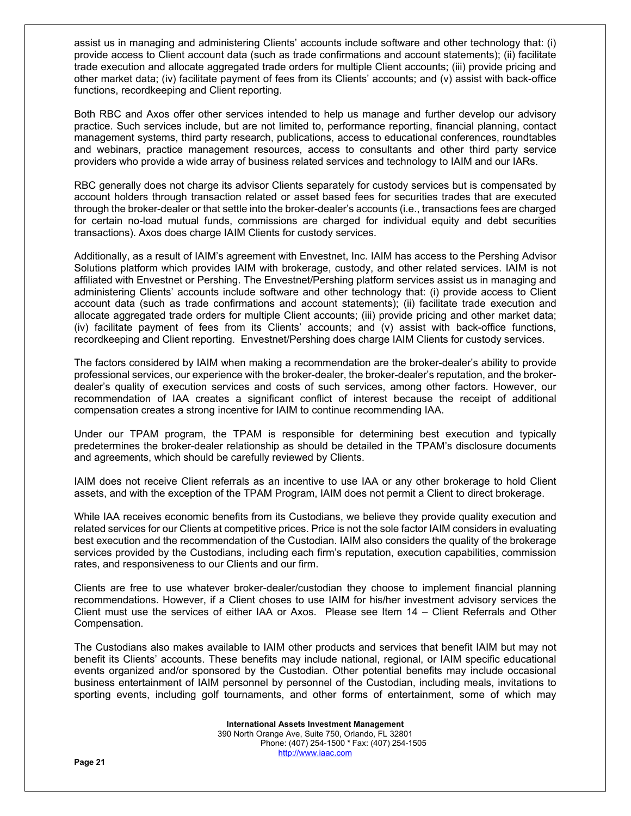assist us in managing and administering Clients' accounts include software and other technology that: (i) provide access to Client account data (such as trade confirmations and account statements); (ii) facilitate trade execution and allocate aggregated trade orders for multiple Client accounts; (iii) provide pricing and other market data; (iv) facilitate payment of fees from its Clients' accounts; and (v) assist with back-office functions, recordkeeping and Client reporting.

Both RBC and Axos offer other services intended to help us manage and further develop our advisory practice. Such services include, but are not limited to, performance reporting, financial planning, contact management systems, third party research, publications, access to educational conferences, roundtables and webinars, practice management resources, access to consultants and other third party service providers who provide a wide array of business related services and technology to IAIM and our IARs.

RBC generally does not charge its advisor Clients separately for custody services but is compensated by account holders through transaction related or asset based fees for securities trades that are executed through the broker-dealer or that settle into the broker-dealer's accounts (i.e., transactions fees are charged for certain no-load mutual funds, commissions are charged for individual equity and debt securities transactions). Axos does charge IAIM Clients for custody services.

Additionally, as a result of IAIM's agreement with Envestnet, Inc. IAIM has access to the Pershing Advisor Solutions platform which provides IAIM with brokerage, custody, and other related services. IAIM is not affiliated with Envestnet or Pershing. The Envestnet/Pershing platform services assist us in managing and administering Clients' accounts include software and other technology that: (i) provide access to Client account data (such as trade confirmations and account statements); (ii) facilitate trade execution and allocate aggregated trade orders for multiple Client accounts; (iii) provide pricing and other market data; (iv) facilitate payment of fees from its Clients' accounts; and (v) assist with back-office functions, recordkeeping and Client reporting. Envestnet/Pershing does charge IAIM Clients for custody services.

The factors considered by IAIM when making a recommendation are the broker-dealer's ability to provide professional services, our experience with the broker-dealer, the broker-dealer's reputation, and the brokerdealer's quality of execution services and costs of such services, among other factors. However, our recommendation of IAA creates a significant conflict of interest because the receipt of additional compensation creates a strong incentive for IAIM to continue recommending IAA.

Under our TPAM program, the TPAM is responsible for determining best execution and typically predetermines the broker-dealer relationship as should be detailed in the TPAM's disclosure documents and agreements, which should be carefully reviewed by Clients.

IAIM does not receive Client referrals as an incentive to use IAA or any other brokerage to hold Client assets, and with the exception of the TPAM Program, IAIM does not permit a Client to direct brokerage.

While IAA receives economic benefits from its Custodians, we believe they provide quality execution and related services for our Clients at competitive prices. Price is not the sole factor IAIM considers in evaluating best execution and the recommendation of the Custodian. IAIM also considers the quality of the brokerage services provided by the Custodians, including each firm's reputation, execution capabilities, commission rates, and responsiveness to our Clients and our firm.

Clients are free to use whatever broker-dealer/custodian they choose to implement financial planning recommendations. However, if a Client choses to use IAIM for his/her investment advisory services the Client must use the services of either IAA or Axos. Please see Item 14 – Client Referrals and Other Compensation.

The Custodians also makes available to IAIM other products and services that benefit IAIM but may not benefit its Clients' accounts. These benefits may include national, regional, or IAIM specific educational events organized and/or sponsored by the Custodian. Other potential benefits may include occasional business entertainment of IAIM personnel by personnel of the Custodian, including meals, invitations to sporting events, including golf tournaments, and other forms of entertainment, some of which may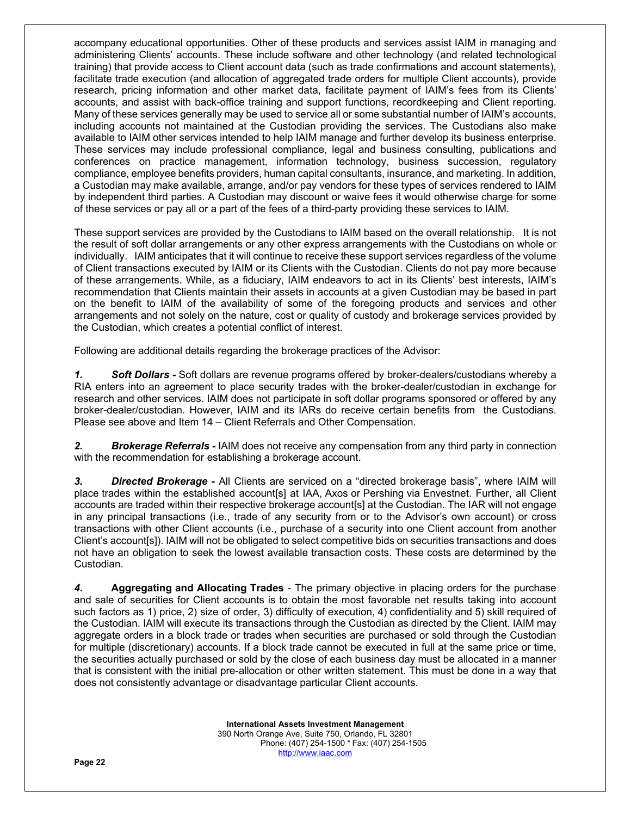accompany educational opportunities. Other of these products and services assist IAIM in managing and administering Clients' accounts. These include software and other technology (and related technological training) that provide access to Client account data (such as trade confirmations and account statements), facilitate trade execution (and allocation of aggregated trade orders for multiple Client accounts), provide research, pricing information and other market data, facilitate payment of IAIM's fees from its Clients' accounts, and assist with back-office training and support functions, recordkeeping and Client reporting. Many of these services generally may be used to service all or some substantial number of IAIM's accounts, including accounts not maintained at the Custodian providing the services. The Custodians also make available to IAIM other services intended to help IAIM manage and further develop its business enterprise. These services may include professional compliance, legal and business consulting, publications and conferences on practice management, information technology, business succession, regulatory compliance, employee benefits providers, human capital consultants, insurance, and marketing. In addition, a Custodian may make available, arrange, and/or pay vendors for these types of services rendered to IAIM by independent third parties. A Custodian may discount or waive fees it would otherwise charge for some of these services or pay all or a part of the fees of a third-party providing these services to IAIM.

These support services are provided by the Custodians to IAIM based on the overall relationship. It is not the result of soft dollar arrangements or any other express arrangements with the Custodians on whole or individually. IAIM anticipates that it will continue to receive these support services regardless of the volume of Client transactions executed by IAIM or its Clients with the Custodian. Clients do not pay more because of these arrangements. While, as a fiduciary, IAIM endeavors to act in its Clients' best interests, IAIM's recommendation that Clients maintain their assets in accounts at a given Custodian may be based in part on the benefit to IAIM of the availability of some of the foregoing products and services and other arrangements and not solely on the nature, cost or quality of custody and brokerage services provided by the Custodian, which creates a potential conflict of interest.

Following are additional details regarding the brokerage practices of the Advisor:

*1. Soft Dollars -* Soft dollars are revenue programs offered by broker-dealers/custodians whereby a RIA enters into an agreement to place security trades with the broker-dealer/custodian in exchange for research and other services. IAIM does not participate in soft dollar programs sponsored or offered by any broker-dealer/custodian. However, IAIM and its IARs do receive certain benefits from the Custodians. Please see above and Item 14 – Client Referrals and Other Compensation.

*2. Brokerage Referrals -* IAIM does not receive any compensation from any third party in connection with the recommendation for establishing a brokerage account.

*3. Directed Brokerage -* All Clients are serviced on a "directed brokerage basis", where IAIM will place trades within the established account[s] at IAA, Axos or Pershing via Envestnet. Further, all Client accounts are traded within their respective brokerage account[s] at the Custodian. The IAR will not engage in any principal transactions (i.e., trade of any security from or to the Advisor's own account) or cross transactions with other Client accounts (i.e., purchase of a security into one Client account from another Client's account[s]). IAIM will not be obligated to select competitive bids on securities transactions and does not have an obligation to seek the lowest available transaction costs. These costs are determined by the Custodian.

*4.* **Aggregating and Allocating Trades** - The primary objective in placing orders for the purchase and sale of securities for Client accounts is to obtain the most favorable net results taking into account such factors as 1) price, 2) size of order, 3) difficulty of execution, 4) confidentiality and 5) skill required of the Custodian. IAIM will execute its transactions through the Custodian as directed by the Client. IAIM may aggregate orders in a block trade or trades when securities are purchased or sold through the Custodian for multiple (discretionary) accounts. If a block trade cannot be executed in full at the same price or time, the securities actually purchased or sold by the close of each business day must be allocated in a manner that is consistent with the initial pre-allocation or other written statement. This must be done in a way that does not consistently advantage or disadvantage particular Client accounts.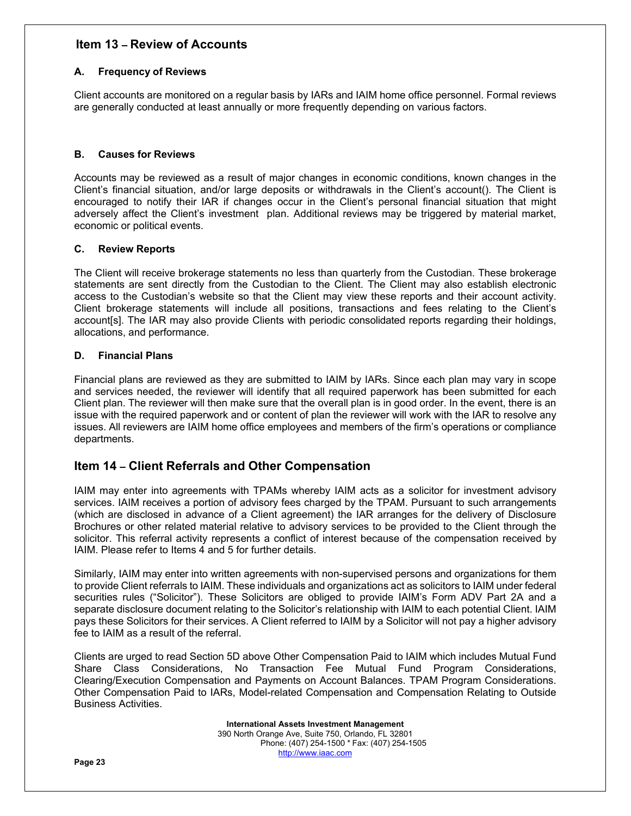# **Item 13 – Review of Accounts**

# **A. Frequency of Reviews**

Client accounts are monitored on a regular basis by IARs and IAIM home office personnel. Formal reviews are generally conducted at least annually or more frequently depending on various factors.

## **B. Causes for Reviews**

Accounts may be reviewed as a result of major changes in economic conditions, known changes in the Client's financial situation, and/or large deposits or withdrawals in the Client's account(). The Client is encouraged to notify their IAR if changes occur in the Client's personal financial situation that might adversely affect the Client's investment plan. Additional reviews may be triggered by material market, economic or political events.

# **C. Review Reports**

The Client will receive brokerage statements no less than quarterly from the Custodian. These brokerage statements are sent directly from the Custodian to the Client. The Client may also establish electronic access to the Custodian's website so that the Client may view these reports and their account activity. Client brokerage statements will include all positions, transactions and fees relating to the Client's account[s]. The IAR may also provide Clients with periodic consolidated reports regarding their holdings, allocations, and performance.

# **D. Financial Plans**

Financial plans are reviewed as they are submitted to IAIM by IARs. Since each plan may vary in scope and services needed, the reviewer will identify that all required paperwork has been submitted for each Client plan. The reviewer will then make sure that the overall plan is in good order. In the event, there is an issue with the required paperwork and or content of plan the reviewer will work with the IAR to resolve any issues. All reviewers are IAIM home office employees and members of the firm's operations or compliance departments.

# **Item 14 – Client Referrals and Other Compensation**

IAIM may enter into agreements with TPAMs whereby IAIM acts as a solicitor for investment advisory services. IAIM receives a portion of advisory fees charged by the TPAM. Pursuant to such arrangements (which are disclosed in advance of a Client agreement) the IAR arranges for the delivery of Disclosure Brochures or other related material relative to advisory services to be provided to the Client through the solicitor. This referral activity represents a conflict of interest because of the compensation received by IAIM. Please refer to Items 4 and 5 for further details.

Similarly, IAIM may enter into written agreements with non-supervised persons and organizations for them to provide Client referrals to IAIM. These individuals and organizations act as solicitors to IAIM under federal securities rules ("Solicitor"). These Solicitors are obliged to provide IAIM's Form ADV Part 2A and a separate disclosure document relating to the Solicitor's relationship with IAIM to each potential Client. IAIM pays these Solicitors for their services. A Client referred to IAIM by a Solicitor will not pay a higher advisory fee to IAIM as a result of the referral.

Clients are urged to read Section 5D above Other Compensation Paid to IAIM which includes Mutual Fund Share Class Considerations, No Transaction Fee Mutual Fund Program Considerations, Clearing/Execution Compensation and Payments on Account Balances. TPAM Program Considerations. Other Compensation Paid to IARs, Model-related Compensation and Compensation Relating to Outside Business Activities.

> **International Assets Investment Management**  390 North Orange Ave, Suite 750, Orlando, FL 32801 Phone: (407) 254-1500 \* Fax: (407) 254-1505 http://www.iaac.com

**Page 23**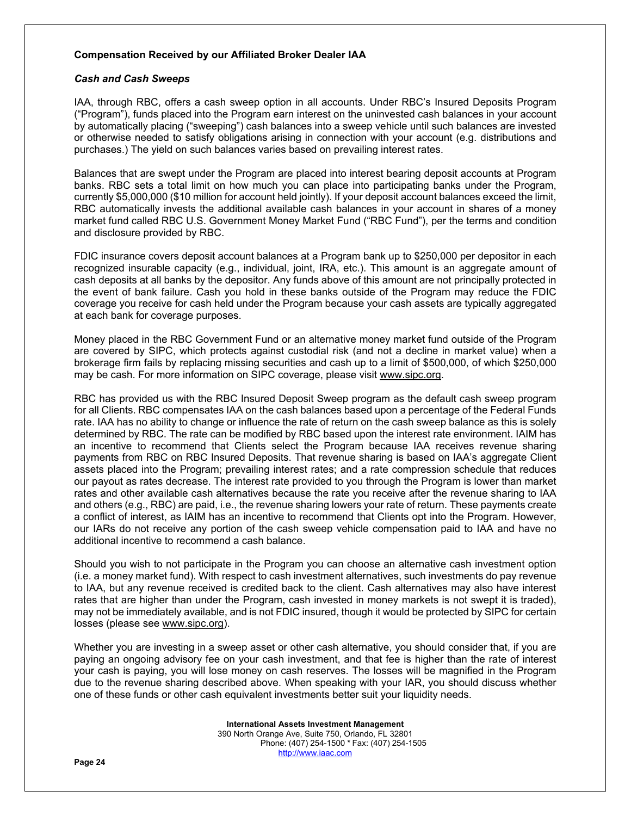## **Compensation Received by our Affiliated Broker Dealer IAA**

#### *Cash and Cash Sweeps*

IAA, through RBC, offers a cash sweep option in all accounts. Under RBC's Insured Deposits Program ("Program"), funds placed into the Program earn interest on the uninvested cash balances in your account by automatically placing ("sweeping") cash balances into a sweep vehicle until such balances are invested or otherwise needed to satisfy obligations arising in connection with your account (e.g. distributions and purchases.) The yield on such balances varies based on prevailing interest rates.

Balances that are swept under the Program are placed into interest bearing deposit accounts at Program banks. RBC sets a total limit on how much you can place into participating banks under the Program, currently \$5,000,000 (\$10 million for account held jointly). If your deposit account balances exceed the limit, RBC automatically invests the additional available cash balances in your account in shares of a money market fund called RBC U.S. Government Money Market Fund ("RBC Fund"), per the terms and condition and disclosure provided by RBC.

FDIC insurance covers deposit account balances at a Program bank up to \$250,000 per depositor in each recognized insurable capacity (e.g., individual, joint, IRA, etc.). This amount is an aggregate amount of cash deposits at all banks by the depositor. Any funds above of this amount are not principally protected in the event of bank failure. Cash you hold in these banks outside of the Program may reduce the FDIC coverage you receive for cash held under the Program because your cash assets are typically aggregated at each bank for coverage purposes.

Money placed in the RBC Government Fund or an alternative money market fund outside of the Program are covered by SIPC, which protects against custodial risk (and not a decline in market value) when a brokerage firm fails by replacing missing securities and cash up to a limit of \$500,000, of which \$250,000 may be cash. For more information on SIPC coverage, please visit www.sipc.org.

RBC has provided us with the RBC Insured Deposit Sweep program as the default cash sweep program for all Clients. RBC compensates IAA on the cash balances based upon a percentage of the Federal Funds rate. IAA has no ability to change or influence the rate of return on the cash sweep balance as this is solely determined by RBC. The rate can be modified by RBC based upon the interest rate environment. IAIM has an incentive to recommend that Clients select the Program because IAA receives revenue sharing payments from RBC on RBC Insured Deposits. That revenue sharing is based on IAA's aggregate Client assets placed into the Program; prevailing interest rates; and a rate compression schedule that reduces our payout as rates decrease. The interest rate provided to you through the Program is lower than market rates and other available cash alternatives because the rate you receive after the revenue sharing to IAA and others (e.g., RBC) are paid, i.e., the revenue sharing lowers your rate of return. These payments create a conflict of interest, as IAIM has an incentive to recommend that Clients opt into the Program. However, our IARs do not receive any portion of the cash sweep vehicle compensation paid to IAA and have no additional incentive to recommend a cash balance.

Should you wish to not participate in the Program you can choose an alternative cash investment option (i.e. a money market fund). With respect to cash investment alternatives, such investments do pay revenue to IAA, but any revenue received is credited back to the client. Cash alternatives may also have interest rates that are higher than under the Program, cash invested in money markets is not swept it is traded), may not be immediately available, and is not FDIC insured, though it would be protected by SIPC for certain losses (please see www.sipc.org).

Whether you are investing in a sweep asset or other cash alternative, you should consider that, if you are paying an ongoing advisory fee on your cash investment, and that fee is higher than the rate of interest your cash is paying, you will lose money on cash reserves. The losses will be magnified in the Program due to the revenue sharing described above. When speaking with your IAR, you should discuss whether one of these funds or other cash equivalent investments better suit your liquidity needs.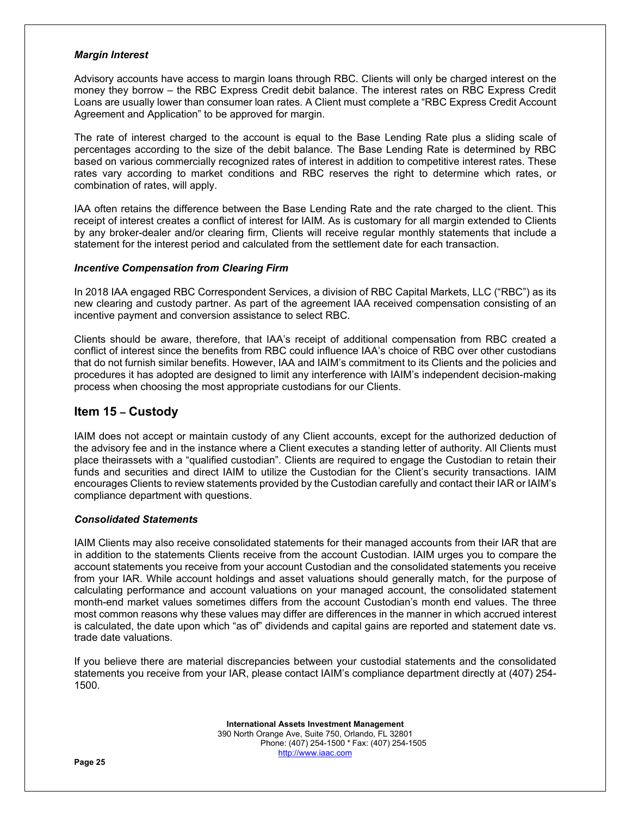#### *Margin Interest*

Advisory accounts have access to margin loans through RBC. Clients will only be charged interest on the money they borrow – the RBC Express Credit debit balance. The interest rates on RBC Express Credit Loans are usually lower than consumer loan rates. A Client must complete a "RBC Express Credit Account Agreement and Application" to be approved for margin.

The rate of interest charged to the account is equal to the Base Lending Rate plus a sliding scale of percentages according to the size of the debit balance. The Base Lending Rate is determined by RBC based on various commercially recognized rates of interest in addition to competitive interest rates. These rates vary according to market conditions and RBC reserves the right to determine which rates, or combination of rates, will apply.

IAA often retains the difference between the Base Lending Rate and the rate charged to the client. This receipt of interest creates a conflict of interest for IAIM. As is customary for all margin extended to Clients by any broker-dealer and/or clearing firm, Clients will receive regular monthly statements that include a statement for the interest period and calculated from the settlement date for each transaction.

#### *Incentive Compensation from Clearing Firm*

In 2018 IAA engaged RBC Correspondent Services, a division of RBC Capital Markets, LLC ("RBC") as its new clearing and custody partner. As part of the agreement IAA received compensation consisting of an incentive payment and conversion assistance to select RBC.

Clients should be aware, therefore, that IAA's receipt of additional compensation from RBC created a conflict of interest since the benefits from RBC could influence IAA's choice of RBC over other custodians that do not furnish similar benefits. However, IAA and IAIM's commitment to its Clients and the policies and procedures it has adopted are designed to limit any interference with IAIM's independent decision-making process when choosing the most appropriate custodians for our Clients.

# **Item 15 – Custody**

IAIM does not accept or maintain custody of any Client accounts, except for the authorized deduction of the advisory fee and in the instance where a Client executes a standing letter of authority. All Clients must place their assets with a "qualified custodian". Clients are required to engage the Custodian to retain their funds and securities and direct IAIM to utilize the Custodian for the Client's security transactions. IAIM encourages Clients to review statements provided by the Custodian carefully and contact their IAR or IAIM's compliance department with questions.

#### *Consolidated Statements*

IAIM Clients may also receive consolidated statements for their managed accounts from their IAR that are in addition to the statements Clients receive from the account Custodian. IAIM urges you to compare the account statements you receive from your account Custodian and the consolidated statements you receive from your IAR. While account holdings and asset valuations should generally match, for the purpose of calculating performance and account valuations on your managed account, the consolidated statement month-end market values sometimes differs from the account Custodian's month end values. The three most common reasons why these values may differ are differences in the manner in which accrued interest is calculated, the date upon which "as of" dividends and capital gains are reported and statement date vs. trade date valuations.

If you believe there are material discrepancies between your custodial statements and the consolidated statements you receive from your IAR, please contact IAIM's compliance department directly at (407) 254- 1500.